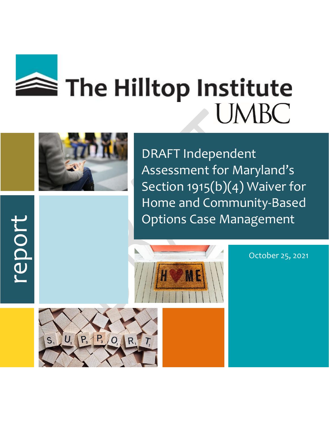



report

DRAFT Independent Assessment for Maryland's Section 1915(b)(4) Waiver for Home and Community-Based Options Case Management



October 25, 2021

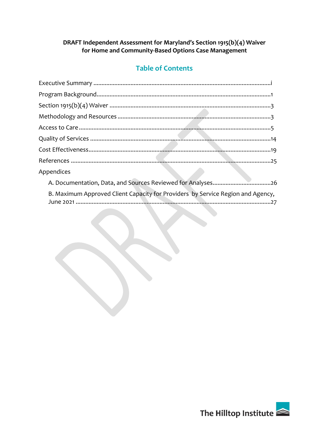# **Table of Contents**

| Appendices                                                                      |  |
|---------------------------------------------------------------------------------|--|
|                                                                                 |  |
| B. Maximum Approved Client Capacity for Providers by Service Region and Agency, |  |
| the contract of the contract of the contract of                                 |  |

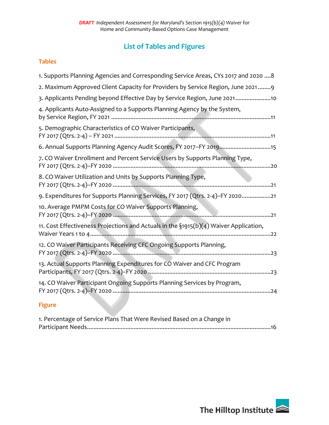# **List of Tables and Figures**

#### **Tables**

| 1. Supports Planning Agencies and Corresponding Service Areas, CYs 2017 and 2020  8       |
|-------------------------------------------------------------------------------------------|
| 2. Maximum Approved Client Capacity for Providers by Service Region, June 20219           |
| 3. Applicants Pending beyond Effective Day by Service Region, June 202110                 |
| 4. Applicants Auto-Assigned to a Supports Planning Agency by the System,                  |
| 5. Demographic Characteristics of CO Waiver Participants,                                 |
| 6. Annual Supports Planning Agency Audit Scores, FY 2017-FY 201915                        |
| 7. CO Waiver Enrollment and Percent Service Users by Supports Planning Type,              |
| 8. CO Waiver Utilization and Units by Supports Planning Type,                             |
| 9. Expenditures for Supports Planning Services, FY 2017 (Qtrs. 2-4)-FY 202021             |
| 10. Average PMPM Costs for CO Waiver Supports Planning,                                   |
| 11. Cost Effectiveness Projections and Actuals in the $\S$ 1915(b)(4) Waiver Application, |
| 12. CO Waiver Participants Receiving CFC Ongoing Supports Planning,                       |
| 13. Actual Supports Planning Expenditures for CO Waiver and CFC Program                   |
| 14. CO Waiver Participant Ongoing Supports Planning Services by Program,                  |
| Eistung in                                                                                |

### **Figure**

| 1. Percentage of Service Plans That Were Revised Based on a Change in |
|-----------------------------------------------------------------------|
|                                                                       |

**The Contract of Street** 

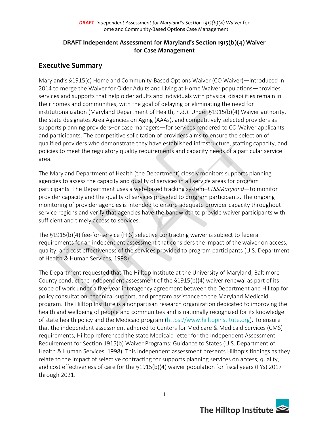### **DRAFT Independent Assessment for Maryland's Section 1915(b)(4) Waiver for Case Management**

### **Executive Summary**

Maryland's §1915(c) Home and Community-Based Options Waiver (CO Waiver)—introduced in 2014 to merge the Waiver for Older Adults and Living at Home Waiver populations—provides services and supports that help older adults and individuals with physical disabilities remain in their homes and communities, with the goal of delaying or eliminating the need for institutionalization (Maryland Department of Health, n.d.). Under §1915(b)(4) Waiver authority, the state designates Area Agencies on Aging (AAAs), and competitively selected providers as supports planning providers–or case managers—for services rendered to CO Waiver applicants and participants. The competitive solicitation of providers aims to ensure the selection of qualified providers who demonstrate they have established infrastructure, staffing capacity, and policies to meet the regulatory quality requirements and capacity needs of a particular service area.

The Maryland Department of Health (the Department) closely monitors supports planning agencies to assess the capacity and quality of services in all service areas for program participants. The Department uses a web-based tracking system–*LTSSMaryland*—to monitor provider capacity and the quality of services provided to program participants. The ongoing monitoring of provider agencies is intended to ensure adequate provider capacity throughout service regions and verify that agencies have the bandwidth to provide waiver participants with sufficient and timely access to services.

The §1915(b)(4) fee-for-service (FFS) selective contracting waiver is subject to federal requirements for an independent assessment that considers the impact of the waiver on access, quality, and cost effectiveness of the services provided to program participants (U.S. Department of Health & Human Services, 1998).

The Department requested that The Hilltop Institute at the University of Maryland, Baltimore County conduct the independent assessment of the §1915(b)(4) waiver renewal as part of its scope of work under a five-year interagency agreement between the Department and Hilltop for policy consultation, technical support, and program assistance to the Maryland Medicaid program. The Hilltop Institute is a nonpartisan research organization dedicated to improving the health and wellbeing of people and communities and is nationally recognized for its knowledge of state health policy and the Medicaid program [\(https://www.hilltopinstitute.org\)](https://www.hilltopinstitute.org/). To ensure that the independent assessment adhered to Centers for Medicare & Medicaid Services (CMS) requirements, Hilltop referenced the state Medicaid letter for the Independent Assessment Requirement for Section 1915(b) Waiver Programs: Guidance to States (U.S. Department of Health & Human Services, 1998). This independent assessment presents Hilltop's findings as they relate to the impact of selective contracting for supports planning services on access, quality, and cost effectiveness of care for the §1915(b)(4) waiver population for fiscal years (FYs) 2017 through 2021.

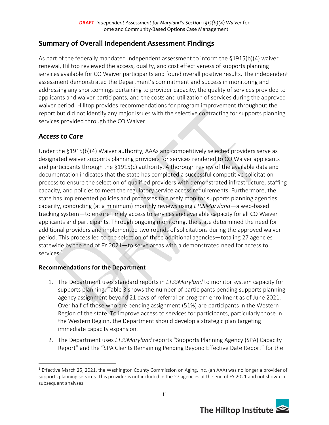### **Summary of Overall Independent Assessment Findings**

As part of the federally mandated independent assessment to inform the §1915(b)(4) waiver renewal, Hilltop reviewed the access, quality, and cost effectiveness of supports planning services available for CO Waiver participants and found overall positive results. The independent assessment demonstrated the Department's commitment and success in monitoring and addressing any shortcomings pertaining to provider capacity, the quality of services provided to applicants and waiver participants, and the costs and utilization of services during the approved waiver period. Hilltop provides recommendations for program improvement throughout the report but did not identify any major issues with the selective contracting for supports planning services provided through the CO Waiver.

### *Access to Care*

Under the §1915(b)(4) Waiver authority, AAAs and competitively selected providers serve as designated waiver supports planning providers for services rendered to CO Waiver applicants and participants through the §1915(c) authority. A thorough review of the available data and documentation indicates that the state has completed a successful competitive solicitation process to ensure the selection of qualified providers with demonstrated infrastructure, staffing capacity, and policies to meet the regulatory service access requirements. Furthermore, the state has implemented policies and processes to closely monitor supports planning agencies capacity, conducting (at a minimum) monthly reviews using *LTSSMaryland*—a web-based tracking system—to ensure timely access to services and available capacity for all CO Waiver applicants and participants. Through ongoing monitoring, the state determined the need for additional providers and implemented two rounds of solicitations during the approved waiver period. This process led to the selection of three additional agencies—totaling 27 agencies statewide by the end of FY 2021—to serve areas with a demonstrated need for access to services. $^1$ 

### **Recommendations for the Department**

- 1. The Department uses standard reports in *LTSSMaryland* to monitor system capacity for supports planning. Table 3 shows the number of participants pending supports planning agency assignment beyond 21 days of referral or program enrollment as of June 2021. Over half of those who are pending assignment (51%) are participants in the Western Region of the state. To improve access to services for participants, particularly those in the Western Region, the Department should develop a strategic plan targeting immediate capacity expansion.
- 2. The Department uses *LTSSMaryland* reports "Supports Planning Agency (SPA) Capacity Report" and the "SPA Clients Remaining Pending Beyond Effective Date Report" for the

 $1$  Effective March 25, 2021, the Washington County Commission on Aging, Inc. (an AAA) was no longer a provider of supports planning services. This provider is not included in the 27 agencies at the end of FY 2021 and not shown in subsequent analyses.

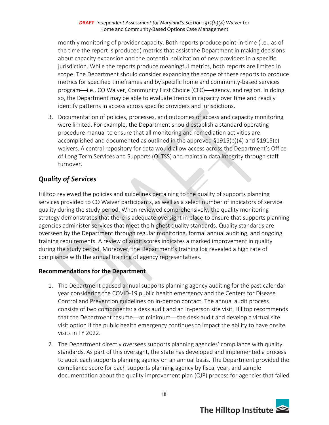monthly monitoring of provider capacity. Both reports produce point-in-time (i.e., as of the time the report is produced) metrics that assist the Department in making decisions about capacity expansion and the potential solicitation of new providers in a specific jurisdiction. While the reports produce meaningful metrics, both reports are limited in scope. The Department should consider expanding the scope of these reports to produce metrics for specified timeframes and by specific home and community-based services program—i.e., CO Waiver, Community First Choice (CFC)—agency, and region. In doing so, the Department may be able to evaluate trends in capacity over time and readily identify patterns in access across specific providers and jurisdictions.

3. Documentation of policies, processes, and outcomes of access and capacity monitoring were limited. For example, the Department should establish a standard operating procedure manual to ensure that all monitoring and remediation activities are accomplished and documented as outlined in the approved §1915(b)(4) and §1915(c) waivers. A central repository for data would allow access across the Department's Office of Long Term Services and Supports (OLTSS) and maintain data integrity through staff turnover.

# *Quality of Services*

Hilltop reviewed the policies and guidelines pertaining to the quality of supports planning services provided to CO Waiver participants, as well as a select number of indicators of service quality during the study period. When reviewed comprehensively, the quality monitoring strategy demonstrates that there is adequate oversight in place to ensure that supports planning agencies administer services that meet the highest quality standards. Quality standards are overseen by the Department through regular monitoring, formal annual auditing, and ongoing training requirements. A review of audit scores indicates a marked improvement in quality during the study period. Moreover, the Department's training log revealed a high rate of compliance with the annual training of agency representatives.

### **Recommendations for the Department**

- 1. The Department paused annual supports planning agency auditing for the past calendar year considering the COVID-19 public health emergency and the Centers for Disease Control and Prevention guidelines on in-person contact. The annual audit process consists of two components: a desk audit and an in-person site visit. Hilltop recommends that the Department resume—at minimum—the desk audit and develop a virtual site visit option if the public health emergency continues to impact the ability to have onsite visits in FY 2022.
- 2. The Department directly oversees supports planning agencies' compliance with quality standards. As part of this oversight, the state has developed and implemented a process to audit each supports planning agency on an annual basis. The Department provided the compliance score for each supports planning agency by fiscal year, and sample documentation about the quality improvement plan (QIP) process for agencies that failed

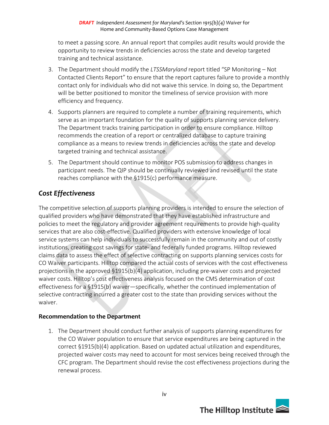to meet a passing score. An annual report that compiles audit results would provide the opportunity to review trends in deficiencies across the state and develop targeted training and technical assistance.

- 3. The Department should modify the *LTSSMaryland* report titled "SP Monitoring Not Contacted Clients Report" to ensure that the report captures failure to provide a monthly contact only for individuals who did not waive this service. In doing so, the Department will be better positioned to monitor the timeliness of service provision with more efficiency and frequency.
- 4. Supports planners are required to complete a number of training requirements, which serve as an important foundation for the quality of supports planning service delivery. The Department tracks training participation in order to ensure compliance. Hilltop recommends the creation of a report or centralized database to capture training compliance as a means to review trends in deficiencies across the state and develop targeted training and technical assistance.
- 5. The Department should continue to monitor POS submission to address changes in participant needs. The QIP should be continually reviewed and revised until the state reaches compliance with the §1915(c) performance measure.

### *Cost Effectiveness*

The competitive selection of supports planning providers is intended to ensure the selection of qualified providers who have demonstrated that they have established infrastructure and policies to meet the regulatory and provider agreement requirements to provide high-quality services that are also cost-effective. Qualified providers with extensive knowledge of local service systems can help individuals to successfully remain in the community and out of costly institutions, creating cost savings for state- and federally funded programs. Hilltop reviewed claims data to assess the effect of selective contracting on supports planning services costs for CO Waiver participants. Hilltop compared the actual costs of services with the cost effectiveness projections in the approved §1915(b)(4) application, including pre-waiver costs and projected waiver costs. Hilltop's cost effectiveness analysis focused on the CMS determination of cost effectiveness for a §1915(b) waiver—specifically, whether the continued implementation of selective contracting incurred a greater cost to the state than providing services without the waiver.

### **Recommendation to the Department**

1. The Department should conduct further analysis of supports planning expenditures for the CO Waiver population to ensure that service expenditures are being captured in the correct §1915(b)(4) application. Based on updated actual utilization and expenditures, projected waiver costs may need to account for most services being received through the CFC program. The Department should revise the cost effectiveness projections during the renewal process.

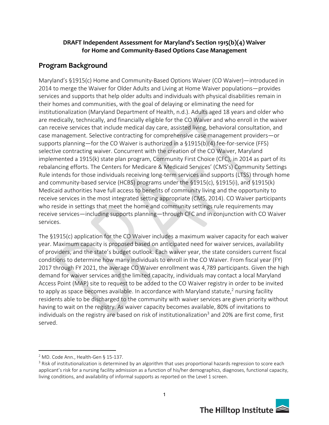### **Program Background**

Maryland's §1915(c) Home and Community-Based Options Waiver (CO Waiver)—introduced in 2014 to merge the Waiver for Older Adults and Living at Home Waiver populations—provides services and supports that help older adults and individuals with physical disabilities remain in their homes and communities, with the goal of delaying or eliminating the need for institutionalization (Maryland Department of Health, n.d.). Adults aged 18 years and older who are medically, technically, and financially eligible for the CO Waiver and who enroll in the waiver can receive services that include medical day care, assisted living, behavioral consultation, and case management. Selective contracting for comprehensive case management providers—or supports planning—for the CO Waiver is authorized in a §1915(b)(4) fee-for-service (FFS) selective contracting waiver. Concurrent with the creation of the CO Waiver, Maryland implemented a 1915(k) state plan program, Community First Choice (CFC), in 2014 as part of its rebalancing efforts. The Centers for Medicare & Medicaid Services' (CMS's) Community Settings Rule intends for those individuals receiving long-term services and supports (LTSS) through home and community-based service (HCBS) programs under the §1915(c), §1915(i), and §1915(k) Medicaid authorities have full access to benefits of community living and the opportunity to receive services in the most integrated setting appropriate (CMS, 2014). CO Waiver participants who reside in settings that meet the home and community settings rule requirements may receive services—including supports planning—through CFC and in conjunction with CO Waiver services.

The §1915(c) application for the CO Waiver includes a maximum waiver capacity for each waiver year. Maximum capacity is proposed based on anticipated need for waiver services, availability of providers, and the state's budget outlook. Each waiver year, the state considers current fiscal conditions to determine how many individuals to enroll in the CO Waiver. From fiscal year (FY) 2017 through FY 2021, the average CO Waiver enrollment was 4,789 participants. Given the high demand for waiver services and the limited capacity, individuals may contact a local Maryland Access Point (MAP) site to request to be added to the CO Waiver registry in order to be invited to apply as space becomes available. In accordance with Maryland statute,<sup>2</sup> nursing facility residents able to be discharged to the community with waiver services are given priority without having to wait on the registry. As waiver capacity becomes available, 80% of invitations to individuals on the registry are based on risk of institutionalization<sup>3</sup> and 20% are first come, first served.

<sup>&</sup>lt;sup>3</sup> Risk of institutionalization is determined by an algorithm that uses proportional hazards regression to score each applicant's risk for a nursing facility admission as a function of his/her demographics, diagnoses, functional capacity, living conditions, and availability of informal supports as reported on the Level 1 screen.



<sup>&</sup>lt;sup>2</sup> MD. Code Ann., Health-Gen § 15-137.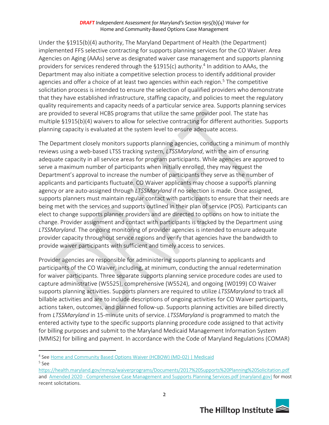Under the §1915(b)(4) authority, The Maryland Department of Health (the Department) implemented FFS selective contracting for supports planning services for the CO Waiver. Area Agencies on Aging (AAAs) serve as designated waiver case management and supports planning providers for services rendered through the §1915(c) authority.<sup>4</sup> In addition to AAAs, the Department may also initiate a competitive selection process to identify additional provider agencies and offer a choice of at least two agencies within each region.<sup>5</sup> The competitive solicitation process is intended to ensure the selection of qualified providers who demonstrate that they have established infrastructure, staffing capacity, and policies to meet the regulatory quality requirements and capacity needs of a particular service area. Supports planning services are provided to several HCBS programs that utilize the same provider pool. The state has multiple §1915(b)(4) waivers to allow for selective contracting for different authorities. Supports planning capacity is evaluated at the system level to ensure adequate access.

The Department closely monitors supports planning agencies, conducting a minimum of monthly reviews using a web-based LTSS tracking system, *LTSSMaryland*, with the aim of ensuring adequate capacity in all service areas for program participants. While agencies are approved to serve a maximum number of participants when initially enrolled, they may request the Department's approval to increase the number of participants they serve as the number of applicants and participants fluctuate. CO Waiver applicants may choose a supports planning agency or are auto-assigned through *LTSSMaryland* if no selection is made. Once assigned, supports planners must maintain regular contact with participants to ensure that their needs are being met with the services and supports outlined in their plan of service (POS). Participants can elect to change supports planner providers and are directed to options on how to initiate the change. Provider assignment and contact with participants is tracked by the Department using *LTSSMaryland*. The ongoing monitoring of provider agencies is intended to ensure adequate provider capacity throughout service regions and verify that agencies have the bandwidth to provide waiver participants with sufficient and timely access to services.

Provider agencies are responsible for administering supports planning to applicants and participants of the CO Waiver, including, at minimum, conducting the annual redetermination for waiver participants. Three separate supports planning service procedure codes are used to capture administrative (W5525), comprehensive (W5524), and ongoing (W0199) CO Waiver supports planning activities. Supports planners are required to utilize *LTSSMaryland* to track all billable activities and are to include descriptions of ongoing activities for CO Waiver participants, actions taken, outcomes, and planned follow-up. Supports planning activities are billed directly from *LTSSMaryland* in 15-minute units of service. *LTSSMaryland* is programmed to match the entered activity type to the specific supports planning procedure code assigned to that activity for billing purposes and submit to the Maryland Medicaid Management Information System (MMIS2) for billing and payment. In accordance with the Code of Maryland Regulations (COMAR)

<https://health.maryland.gov/mmcp/waiverprograms/Documents/2017%20Supports%20Planning%20Solicitation.pdf> and Amended 2020 - [Comprehensive Case Management and Supports Planning](https://health.maryland.gov/mmcp/longtermcare/SiteAssets/Pages/CFC-Provider-Information/Amended%202020%20-%20Comprehensive%20Case%20Management%20and%20Supports%20Planning%20Services.pdf) Services.pdf (maryland.gov) for most recent solicitations.



<sup>&</sup>lt;sup>4</sup> See [Home and Community Based Options Waiver \(HCBOW\) \(MD-02\) | Medicaid](https://www.medicaid.gov/medicaid/section-1115-demo/demonstration-and-waiver-list/81976)

<sup>5</sup> See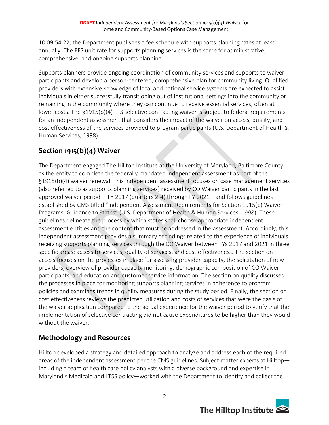10.09.54.22, the Department publishes a fee schedule with supports planning rates at least annually. The FFS unit rate for supports planning services is the same for administrative, comprehensive, and ongoing supports planning.

Supports planners provide ongoing coordination of community services and supports to waiver participants and develop a person-centered, comprehensive plan for community living. Qualified providers with extensive knowledge of local and national service systems are expected to assist individuals in either successfully transitioning out of institutional settings into the community or remaining in the community where they can continue to receive essential services, often at lower costs. The §1915(b)(4) FFS selective contracting waiver is subject to federal requirements for an independent assessment that considers the impact of the waiver on access, quality, and cost effectiveness of the services provided to program participants (U.S. Department of Health & Human Services, 1998).

# **Section 1915(b)(4) Waiver**

The Department engaged The Hilltop Institute at the University of Maryland, Baltimore County as the entity to complete the federally mandated independent assessment as part of the §1915(b)(4) waiver renewal. This independent assessment focuses on case management services (also referred to as supports planning services) received by CO Waiver participants in the last approved waiver period— FY 2017 (quarters 2-4) through FY 2021—and follows guidelines established by CMS titled "Independent Assessment Requirements for Section 1915(b) Waiver Programs: Guidance to States" (U.S. Department of Health & Human Services, 1998). These guidelines delineate the process by which states shall choose appropriate independent assessment entities and the content that must be addressed in the assessment. Accordingly, this independent assessment provides a summary of findings related to the experience of individuals receiving supports planning services through the CO Waiver between FYs 2017 and 2021 in three specific areas: access to services, quality of services, and cost effectiveness. The section on access focuses on the processes in place for assessing provider capacity, the solicitation of new providers, overview of provider capacity monitoring, demographic composition of CO Waiver participants, and education and customer service information. The section on quality discusses the processes in place for monitoring supports planning services in adherence to program policies and examines trends in quality measures during the study period. Finally, the section on cost effectiveness reviews the predicted utilization and costs of services that were the basis of the waiver application compared to the actual experience for the waiver period to verify that the implementation of selective contracting did not cause expenditures to be higher than they would without the waiver.

# **Methodology and Resources**

Hilltop developed a strategy and detailed approach to analyze and address each of the required areas of the independent assessment per the CMS guidelines. Subject matter experts at Hilltop including a team of health care policy analysts with a diverse background and expertise in Maryland's Medicaid and LTSS policy—worked with the Department to identify and collect the

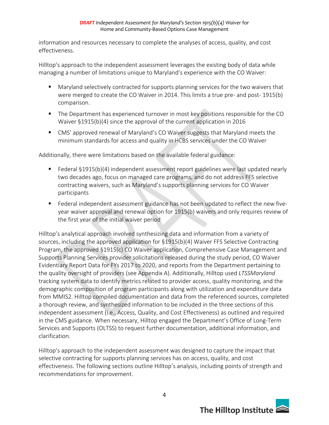information and resources necessary to complete the analyses of access, quality, and cost effectiveness.

Hilltop's approach to the independent assessment leverages the existing body of data while managing a number of limitations unique to Maryland's experience with the CO Waiver:

- Maryland selectively contracted for supports planning services for the two waivers that were merged to create the CO Waiver in 2014. This limits a true pre- and post- 1915(b) comparison.
- **•** The Department has experienced turnover in most key positions responsible for the CO Waiver §1915(b)(4) since the approval of the current application in 2016
- CMS' approved renewal of Maryland's CO Waiver suggests that Maryland meets the minimum standards for access and quality in HCBS services under the CO Waiver

Additionally, there were limitations based on the available federal guidance:

- Federal §1915(b)(4) independent assessment report guidelines were last updated nearly two decades ago, focus on managed care programs, and do not address FFS selective contracting waivers, such as Maryland's supports planning services for CO Waiver participants
- Federal independent assessment guidance has not been updated to reflect the new fiveyear waiver approval and renewal option for 1915(b) waivers and only requires review of the first year of the initial waiver period

Hilltop's analytical approach involved synthesizing data and information from a variety of sources, including the approved application for §1915(b)(4) Waiver FFS Selective Contracting Program, the approved §1915(c) CO Waiver application, Comprehensive Case Management and Supports Planning Services provider solicitations released during the study period, CO Waiver Evidentiary Report Data for FYs 2017 to 2020, and reports from the Department pertaining to the quality oversight of providers (see Appendix A). Additionally, Hilltop used *LTSSMaryland* tracking system data to identify metrics related to provider access, quality monitoring, and the demographic composition of program participants along with utilization and expenditure data from MMIS2. Hilltop compiled documentation and data from the referenced sources, completed a thorough review, and synthesized information to be included in the three sections of this independent assessment (i.e., Access, Quality, and Cost Effectiveness) as outlined and required in the CMS guidance. When necessary, Hilltop engaged the Department's Office of Long-Term Services and Supports (OLTSS) to request further documentation, additional information, and clarification.

Hilltop's approach to the independent assessment was designed to capture the impact that selective contracting for supports planning services has on access, quality, and cost effectiveness. The following sections outline Hilltop's analysis, including points of strength and recommendations for improvement.

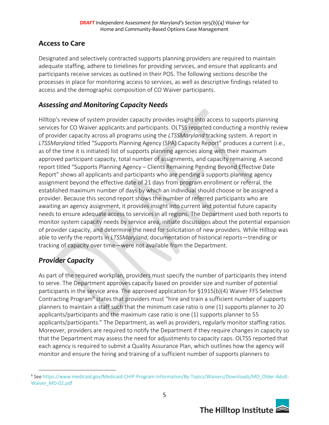# **Access to Care**

Designated and selectively contracted supports planning providers are required to maintain adequate staffing, adhere to timelines for providing services, and ensure that applicants and participants receive services as outlined in their POS. The following sections describe the processes in place for monitoring access to services, as well as descriptive findings related to access and the demographic composition of CO Waiver participants.

### *Assessing and Monitoring Capacity Needs*

Hilltop's review of system provider capacity provides insight into access to supports planning services for CO Waiver applicants and participants. OLTSS reported conducting a monthly review of provider capacity across all programs using the *LTSSMaryland* tracking system. A report in *LTSSMaryland* titled "Supports Planning Agency (SPA) Capacity Report" produces a current (i.e., as of the time it is initiated) list of supports planning agencies along with their maximum approved participant capacity, total number of assignments, and capacity remaining. A second report titled "Supports Planning Agency – Clients Remaining Pending Beyond Effective Date Report" shows all applicants and participants who are pending a supports planning agency assignment beyond the effective date of 21 days from program enrollment or referral, the established maximum number of days by which an individual should choose or be assigned a provider. Because this second report shows the number of referred participants who are awaiting an agency assignment, it provides insight into current and potential future capacity needs to ensure adequate access to services in all regions. The Department used both reports to monitor system capacity needs by service area, initiate discussions about the potential expansion of provider capacity, and determine the need for solicitation of new providers. While Hilltop was able to verify the reports in *LTSSMaryland*, documentation of historical reports—trending or tracking of capacity over time—were not available from the Department.

### *Provider Capacity*

As part of the required workplan, providers must specify the number of participants they intend to serve. The Department approves capacity based on provider size and number of potential participants in the service area. The approved application for §1915(b)(4) Waiver FFS Selective Contracting Program<sup>6</sup> states that providers must "hire and train a sufficient number of supports planners to maintain a staff such that the minimum case ratio is one (1) supports planner to 20 applicants/participants and the maximum case ratio is one (1) supports planner to 55 applicants/participants." The Department, as well as providers, regularly monitor staffing ratios. Moreover, providers are required to notify the Department if they require changes in capacity so that the Department may assess the need for adjustments to capacity caps. OLTSS reported that each agency is required to submit a Quality Assurance Plan, which outlines how the agency will monitor and ensure the hiring and training of a sufficient number of supports planners to

<sup>6</sup> See https://www.medicaid.gov/Medicaid-CHIP-Program-Information/By-Topics/Waivers/Downloads/MD\_Older-Adult-Waiver\_MD-02.pdf

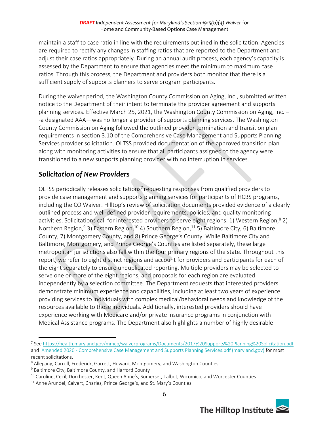maintain a staff to case ratio in line with the requirements outlined in the solicitation. Agencies are required to rectify any changes in staffing ratios that are reported to the Department and adjust their case ratios appropriately. During an annual audit process, each agency's capacity is assessed by the Department to ensure that agencies meet the minimum to maximum case ratios. Through this process, the Department and providers both monitor that there is a sufficient supply of supports planners to serve program participants.

During the waiver period, the Washington County Commission on Aging, Inc., submitted written notice to the Department of their intent to terminate the provider agreement and supports planning services. Effective March 25, 2021, the Washington County Commission on Aging, Inc. – -a designated AAA—was no longer a provider of supports planning services. The Washington County Commission on Aging followed the outlined provider termination and transition plan requirements in section 3.10 of the Comprehensive Case Management and Supports Planning Services provider solicitation. OLTSS provided documentation of the approved transition plan along with monitoring activities to ensure that all participants assigned to the agency were transitioned to a new supports planning provider with no interruption in services.

### *Solicitation of New Providers*

OLTSS periodically releases solicitations<sup>7</sup> requesting responses from qualified providers to provide case management and supports planning services for participants of HCBS programs, including the CO Waiver. Hilltop's review of solicitation documents provided evidence of a clearly outlined process and well-defined provider requirements, policies, and quality monitoring activities. Solicitations call for interested providers to serve eight regions: 1) Western Region,<sup>8</sup> 2) Northern Region,<sup>9</sup> 3) Eastern Region,<sup>10</sup> 4) Southern Region,<sup>11</sup> 5) Baltimore City, 6) Baltimore County, 7) Montgomery County, and 8) Prince George's County. While Baltimore City and Baltimore, Montgomery, and Prince George's Counties are listed separately, these large metropolitan jurisdictions also fall within the four primary regions of the state. Throughout this report, we refer to eight distinct regions and account for providers and participants for each of the eight separately to ensure unduplicated reporting. Multiple providers may be selected to serve one or more of the eight regions, and proposals for each region are evaluated independently by a selection committee. The Department requests that interested providers demonstrate minimum experience and capabilities, including at least two years of experience providing services to individuals with complex medical/behavioral needs and knowledge of the resources available to those individuals. Additionally, interested providers should have experience working with Medicare and/or private insurance programs in conjunction with Medical Assistance programs. The Department also highlights a number of highly desirable

<sup>&</sup>lt;sup>11</sup> Anne Arundel, Calvert, Charles, Prince George's, and St. Mary's Counties



<sup>&</sup>lt;sup>7</sup> See<https://health.maryland.gov/mmcp/waiverprograms/Documents/2017%20Supports%20Planning%20Solicitation.pdf> and Amended 2020 - [Comprehensive Case Management and Supports Planning Services.pdf \(maryland.gov\)](https://health.maryland.gov/mmcp/longtermcare/SiteAssets/Pages/CFC-Provider-Information/Amended%202020%20-%20Comprehensive%20Case%20Management%20and%20Supports%20Planning%20Services.pdf) for most recent solicitations.

<sup>8</sup> Allegany, Carroll, Frederick, Garrett, Howard, Montgomery, and Washington Counties

<sup>&</sup>lt;sup>9</sup> Baltimore City, Baltimore County, and Harford County

<sup>&</sup>lt;sup>10</sup> Caroline, Cecil, Dorchester, Kent, Queen Anne's, Somerset, Talbot, Wicomico, and Worcester Counties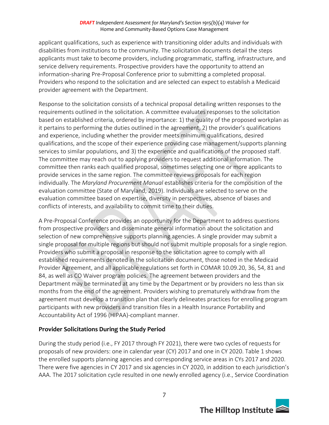applicant qualifications, such as experience with transitioning older adults and individuals with disabilities from institutions to the community. The solicitation documents detail the steps applicants must take to become providers, including programmatic, staffing, infrastructure, and service delivery requirements. Prospective providers have the opportunity to attend an information-sharing Pre-Proposal Conference prior to submitting a completed proposal. Providers who respond to the solicitation and are selected can expect to establish a Medicaid provider agreement with the Department.

Response to the solicitation consists of a technical proposal detailing written responses to the requirements outlined in the solicitation. A committee evaluates responses to the solicitation based on established criteria, ordered by importance: 1) the quality of the proposed workplan as it pertains to performing the duties outlined in the agreement, 2) the provider's qualifications and experience, including whether the provider meets minimum qualifications, desired qualifications, and the scope of their experience providing case management/supports planning services to similar populations, and 3) the experience and qualifications of the proposed staff. The committee may reach out to applying providers to request additional information. The committee then ranks each qualified proposal, sometimes selecting one or more applicants to provide services in the same region. The committee reviews proposals for each region individually. The *Maryland Procurement Manual* establishes criteria for the composition of the evaluation committee (State of Maryland, 2019). Individuals are selected to serve on the evaluation committee based on expertise, diversity in perspectives, absence of biases and conflicts of interests, and availability to commit time to their duties.

A Pre-Proposal Conference provides an opportunity for the Department to address questions from prospective providers and disseminate general information about the solicitation and selection of new comprehensive supports planning agencies. A single provider may submit a single proposal for multiple regions but should not submit multiple proposals for a single region. Providers who submit a proposal in response to the solicitation agree to comply with all established requirements denoted in the solicitation document, those noted in the Medicaid Provider Agreement, and all applicable regulations set forth in COMAR 10.09.20, 36, 54, 81 and 84, as well as CO Waiver program policies. The agreement between providers and the Department may be terminated at any time by the Department or by providers no less than six months from the end of the agreement. Providers wishing to prematurely withdraw from the agreement must develop a transition plan that clearly delineates practices for enrolling program participants with new providers and transition files in a Health Insurance Portability and Accountability Act of 1996 (HIPAA)-compliant manner.

### **Provider Solicitations During the Study Period**

During the study period (i.e., FY 2017 through FY 2021), there were two cycles of requests for proposals of new providers: one in calendar year (CY) 2017 and one in CY 2020. Table 1 shows the enrolled supports planning agencies and corresponding service areas in CYs 2017 and 2020. There were five agencies in CY 2017 and six agencies in CY 2020, in addition to each jurisdiction's AAA. The 2017 solicitation cycle resulted in one newly enrolled agency (i.e., Service Coordination

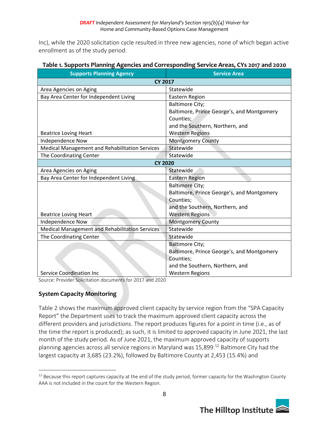Inc), while the 2020 solicitation cycle resulted in three new agencies, none of which began active enrollment as of the study period.

| <b>Supports Planning Agency</b>                       | <b>Service Area</b>                        |
|-------------------------------------------------------|--------------------------------------------|
| <b>CY 2017</b>                                        |                                            |
| Area Agencies on Aging                                | Statewide                                  |
| Bay Area Center for Independent Living                | Eastern Region                             |
|                                                       | <b>Baltimore City;</b>                     |
|                                                       | Baltimore, Prince George's, and Montgomery |
|                                                       | Counties;                                  |
|                                                       | and the Southern, Northern, and            |
| <b>Beatrice Loving Heart</b>                          | <b>Western Regions</b>                     |
| Independence Now                                      | <b>Montgomery County</b>                   |
| Medical Management and Rehabilitation Services        | Statewide                                  |
| The Coordinating Center                               | Statewide                                  |
| <b>CY 2020</b>                                        |                                            |
| Area Agencies on Aging                                | Statewide                                  |
| Bay Area Center for Independent Living                | <b>Eastern Region</b>                      |
|                                                       | <b>Baltimore City;</b>                     |
|                                                       | Baltimore, Prince George's, and Montgomery |
|                                                       | Counties;                                  |
|                                                       | and the Southern, Northern, and            |
| <b>Beatrice Loving Heart</b>                          | <b>Western Regions</b>                     |
| Independence Now                                      | <b>Montgomery County</b>                   |
| <b>Medical Management and Rehabilitation Services</b> | Statewide                                  |
| The Coordinating Center                               | Statewide                                  |
|                                                       | <b>Baltimore City;</b>                     |
|                                                       | Baltimore, Prince George's, and Montgomery |
|                                                       | Counties;                                  |
|                                                       | and the Southern, Northern, and            |
| Service Coordination Inc                              | <b>Western Regions</b>                     |

#### **Table 1. Supports Planning Agencies and Corresponding Service Areas, CYs 2017 and 2020**

Source: Provider Solicitation documents for 2017 and 2020

### **System Capacity Monitoring**

Table 2 shows the maximum approved client capacity by service region from the "SPA Capacity Report" the Department uses to track the maximum approved client capacity across the different providers and jurisdictions. The report produces figures for a point in time (i.e., as of the time the report is produced); as such, it is limited to approved capacity in June 2021, the last month of the study period. As of June 2021, the maximum approved capacity of supports planning agencies across all service regions in Maryland was 15,899. <sup>12</sup> Baltimore City had the largest capacity at 3,685 (23.2%), followed by Baltimore County at 2,453 (15.4%) and

<sup>&</sup>lt;sup>12</sup> Because this report captures capacity at the end of the study period, former capacity for the Washington County AAA is not included in the count for the Western Region.

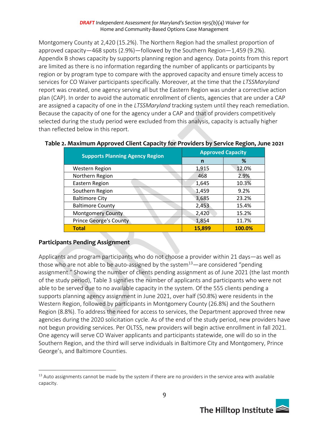Montgomery County at 2,420 (15.2%). The Northern Region had the smallest proportion of approved capacity—468 spots (2.9%)—followed by the Southern Region—1,459 (9.2%). Appendix B shows capacity by supports planning region and agency. Data points from this report are limited as there is no information regarding the number of applicants or participants by region or by program type to compare with the approved capacity and ensure timely access to services for CO Waiver participants specifically. Moreover, at the time that the *LTSSMaryland* report was created, one agency serving all but the Eastern Region was under a corrective action plan (CAP). In order to avoid the automatic enrollment of clients, agencies that are under a CAP are assigned a capacity of one in the *LTSSMaryland* tracking system until they reach remediation. Because the capacity of one for the agency under a CAP and that of providers competitively selected during the study period were excluded from this analysis, capacity is actually higher than reflected below in this report.

| <b>Supports Planning Agency Region</b> | <b>Approved Capacity</b> |        |  |  |
|----------------------------------------|--------------------------|--------|--|--|
|                                        | n                        | ℅      |  |  |
| <b>Western Region</b>                  | 1,915                    | 12.0%  |  |  |
| Northern Region                        | 468                      | 2.9%   |  |  |
| Eastern Region                         | 1,645                    | 10.3%  |  |  |
| Southern Region                        | 1,459                    | 9.2%   |  |  |
| <b>Baltimore City</b>                  | 3,685                    | 23.2%  |  |  |
| <b>Baltimore County</b>                | 2,453                    | 15.4%  |  |  |
| <b>Montgomery County</b>               | 2,420                    | 15.2%  |  |  |
| <b>Prince George's County</b>          | 1,854                    | 11.7%  |  |  |
| <b>Total</b>                           | 15,899                   | 100.0% |  |  |

### **Table 2. Maximum Approved Client Capacity for Providers by Service Region, June 2021**

### **Participants Pending Assignment**

Applicants and program participants who do not choose a provider within 21 days—as well as those who are not able to be auto-assigned by the system $13$ —are considered "pending assignment." Showing the number of clients pending assignment as of June 2021 (the last month of the study period), Table 3 signifies the number of applicants and participants who were not able to be served due to no available capacity in the system. Of the 555 clients pending a supports planning agency assignment in June 2021, over half (50.8%) were residents in the Western Region, followed by participants in Montgomery County (26.8%) and the Southern Region (8.8%). To address the need for access to services, the Department approved three new agencies during the 2020 solicitation cycle. As of the end of the study period, new providers have not begun providing services. Per OLTSS, new providers will begin active enrollment in fall 2021. One agency will serve CO Waiver applicants and participants statewide, one will do so in the Southern Region, and the third will serve individuals in Baltimore City and Montgomery, Prince George's, and Baltimore Counties.

<sup>&</sup>lt;sup>13</sup> Auto assignments cannot be made by the system if there are no providers in the service area with available capacity.

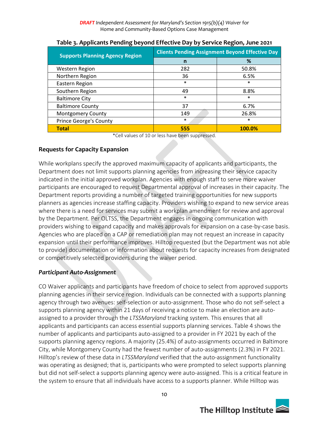| <b>Supports Planning Agency Region</b> | <b>Clients Pending Assignment Beyond Effective Day</b> |        |  |  |
|----------------------------------------|--------------------------------------------------------|--------|--|--|
|                                        | n                                                      | %      |  |  |
| <b>Western Region</b>                  | 282                                                    | 50.8%  |  |  |
| Northern Region                        | 36                                                     | 6.5%   |  |  |
| Eastern Region                         | $\ast$                                                 | $\ast$ |  |  |
| Southern Region                        | 49                                                     | 8.8%   |  |  |
| <b>Baltimore City</b>                  | $\ast$                                                 | $\ast$ |  |  |
| <b>Baltimore County</b>                | 37                                                     | 6.7%   |  |  |
| <b>Montgomery County</b>               | 149                                                    | 26.8%  |  |  |
| <b>Prince George's County</b>          | $\ast$                                                 | $\ast$ |  |  |
| <b>Total</b>                           | 555                                                    | 100.0% |  |  |

### **Table 3. Applicants Pending beyond Effective Day by Service Region, June 2021**

\*Cell values of 10 or less have been suppressed.

#### **Requests for Capacity Expansion**

While workplans specify the approved maximum capacity of applicants and participants, the Department does not limit supports planning agencies from increasing their service capacity indicated in the initial approved workplan. Agencies with enough staff to serve more waiver participants are encouraged to request Departmental approval of increases in their capacity. The Department reports providing a number of targeted training opportunities for new supports planners as agencies increase staffing capacity. Providers wishing to expand to new service areas where there is a need for services may submit a workplan amendment for review and approval by the Department. Per OLTSS, the Department engages in ongoing communication with providers wishing to expand capacity and makes approvals for expansion on a case-by-case basis. Agencies who are placed on a CAP or remediation plan may not request an increase in capacity expansion until their performance improves. Hilltop requested (but the Department was not able to provide) documentation or information about requests for capacity increases from designated or competitively selected providers during the waiver period.

#### *Participant Auto-Assignment*

CO Waiver applicants and participants have freedom of choice to select from approved supports planning agencies in their service region. Individuals can be connected with a supports planning agency through two avenues: self-selection or auto-assignment. Those who do not self-select a supports planning agency within 21 days of receiving a notice to make an election are autoassigned to a provider through the *LTSSMaryland* tracking system. This ensures that all applicants and participants can access essential supports planning services. Table 4 shows the number of applicants and participants auto-assigned to a provider in FY 2021 by each of the supports planning agency regions. A majority (25.4%) of auto-assignments occurred in Baltimore City, while Montgomery County had the fewest number of auto-assignments (2.3%) in FY 2021. Hilltop's review of these data in *LTSSMaryland* verified that the auto-assignment functionality was operating as designed; that is, participants who were prompted to select supports planning but did not self-select a supports planning agency were auto-assigned. This is a critical feature in the system to ensure that all individuals have access to a supports planner. While Hilltop was

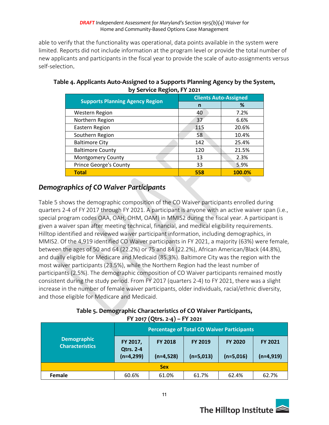able to verify that the functionality was operational, data points available in the system were limited. Reports did not include information at the program level or provide the total number of new applicants and participants in the fiscal year to provide the scale of auto-assignments versus self-selection.

| <b>Supports Planning Agency Region</b> | <b>Clients Auto-Assigned</b> |        |  |  |
|----------------------------------------|------------------------------|--------|--|--|
|                                        | n                            | %      |  |  |
| <b>Western Region</b>                  | 40                           | 7.2%   |  |  |
| Northern Region                        | 37                           | 6.6%   |  |  |
| Eastern Region                         | 115                          | 20.6%  |  |  |
| Southern Region                        | 58                           | 10.4%  |  |  |
| <b>Baltimore City</b>                  | 142                          | 25.4%  |  |  |
| <b>Baltimore County</b>                | 120                          | 21.5%  |  |  |
| <b>Montgomery County</b>               | 13                           | 2.3%   |  |  |
| <b>Prince George's County</b>          | 33                           | 5.9%   |  |  |
| <b>Total</b>                           | 558                          | 100.0% |  |  |

### **Table 4. Applicants Auto-Assigned to a Supports Planning Agency by the System, by Service Region, FY 2021**

# *Demographics of CO Waiver Participants*

Table 5 shows the demographic composition of the CO Waiver participants enrolled during quarters 2-4 of FY 2017 through FY 2021. A participant is anyone with an active waiver span (i.e., special program codes OAA, OAH, OHM, OAM) in MMIS2 during the fiscal year. A participant is given a waiver span after meeting technical, financial, and medical eligibility requirements. Hilltop identified and reviewed waiver participant information, including demographics, in MMIS2. Of the 4,919 identified CO Waiver participants in FY 2021, a majority (63%) were female, between the ages of 50 and 64 (22.2%) or 75 and 84 (22.2%), African American/Black (44.8%), and dually eligible for Medicare and Medicaid (85.3%). Baltimore City was the region with the most waiver participants (23.5%), while the Northern Region had the least number of participants (2.5%). The demographic composition of CO Waiver participants remained mostly consistent during the study period. From FY 2017 (quarters 2-4) to FY 2021, there was a slight increase in the number of female waiver participants, older individuals, racial/ethnic diversity, and those eligible for Medicare and Medicaid.

| Table 5. Demographic Characteristics of CO Waiver Participants, |
|-----------------------------------------------------------------|
| FY 2017 (Qtrs. 2-4) – FY 2021                                   |

|                                              |                                                |                                  | <b>Percentage of Total CO Waiver Participants</b> |                |                |  |  |  |  |  |
|----------------------------------------------|------------------------------------------------|----------------------------------|---------------------------------------------------|----------------|----------------|--|--|--|--|--|
| <b>Demographic</b><br><b>Characteristics</b> | <b>FY 2018</b><br>FY 2017,<br><b>Qtrs. 2-4</b> |                                  | <b>FY 2019</b><br>$(n=5,013)$                     | <b>FY 2020</b> | <b>FY 2021</b> |  |  |  |  |  |
|                                              | $(n=4,299)$                                    | $(n=4,528)$                      |                                                   | $(n=5,016)$    | $(n=4,919)$    |  |  |  |  |  |
| <b>Sex</b>                                   |                                                |                                  |                                                   |                |                |  |  |  |  |  |
| <b>Female</b>                                | 60.6%                                          | 61.0%<br>61.7%<br>62.4%<br>62.7% |                                                   |                |                |  |  |  |  |  |

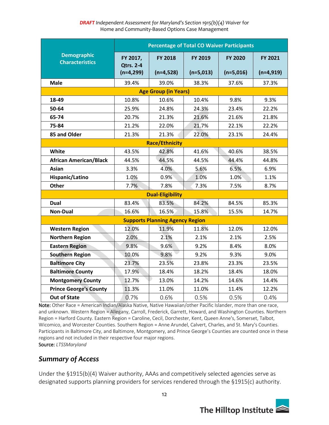|                                              |                                 |                                        | <b>Percentage of Total CO Waiver Participants</b> |             |             |
|----------------------------------------------|---------------------------------|----------------------------------------|---------------------------------------------------|-------------|-------------|
| <b>Demographic</b><br><b>Characteristics</b> | FY 2017,                        | <b>FY 2018</b>                         | FY 2019                                           | FY 2020     | FY 2021     |
|                                              | <b>Qtrs. 2-4</b><br>$(n=4,299)$ | $(n=4,528)$                            | $(n=5,013)$                                       | $(n=5,016)$ | $(n=4,919)$ |
| <b>Male</b>                                  | 39.4%                           | 39.0%                                  | 38.3%                                             | 37.6%       | 37.3%       |
|                                              |                                 | <b>Age Group (in Years)</b>            |                                                   |             |             |
| 18-49                                        | 10.8%                           | 10.6%                                  | 10.4%                                             | 9.8%        | 9.3%        |
| 50-64                                        | 25.9%                           | 24.8%                                  | 24.3%                                             | 23.4%       | 22.2%       |
| 65-74                                        | 20.7%                           | 21.3%                                  | 21.6%                                             | 21.6%       | 21.8%       |
| 75-84                                        | 21.2%                           | 22.0%                                  | 21.7%                                             | 22.1%       | 22.2%       |
| 85 and Older                                 | 21.3%                           | 21.3%                                  | 22.0%                                             | 23.1%       | 24.4%       |
|                                              |                                 | <b>Race/Ethnicity</b>                  |                                                   |             |             |
| White                                        | 43.5%                           | 42.8%                                  | 41.6%                                             | 40.6%       | 38.5%       |
| <b>African American/Black</b>                | 44.5%                           | 44.5%                                  | 44.5%                                             | 44.4%       | 44.8%       |
| <b>Asian</b>                                 | 3.3%                            | 4.0%                                   | 5.6%                                              | 6.5%        | 6.9%        |
| Hispanic/Latino                              | 1.0%                            | 0.9%                                   | 1.0%                                              | 1.0%        | 1.1%        |
| <b>Other</b>                                 | 7.7%                            | 7.8%                                   | 7.3%                                              | 7.5%        | 8.7%        |
|                                              |                                 | <b>Dual-Eligibility</b>                |                                                   |             |             |
| Dual                                         | 83.4%                           | 83.5%                                  | 84.2%                                             | 84.5%       | 85.3%       |
| <b>Non-Dual</b>                              | 16.6%                           | 16.5%                                  | 15.8%                                             | 15.5%       | 14.7%       |
|                                              |                                 | <b>Supports Planning Agency Region</b> |                                                   |             |             |
| <b>Western Region</b>                        | 12.0%                           | 11.9%                                  | 11.8%                                             | 12.0%       | 12.0%       |
| <b>Northern Region</b>                       | 2.0%                            | 2.1%                                   | 2.1%                                              | 2.1%        | 2.5%        |
| <b>Eastern Region</b>                        | 9.8%                            | 9.6%                                   | 9.2%                                              | 8.4%        | 8.0%        |
| <b>Southern Region</b>                       | 10.0%                           | 9.8%                                   | 9.2%                                              | 9.3%        | 9.0%        |
| <b>Baltimore City</b>                        | 23.7%                           | 23.5%                                  | 23.8%                                             | 23.3%       | 23.5%       |
| <b>Baltimore County</b>                      | 17.9%                           | 18.4%                                  | 18.2%                                             | 18.4%       | 18.0%       |
| <b>Montgomery County</b>                     | 12.7%                           | 13.0%                                  | 14.2%                                             | 14.6%       | 14.4%       |
| <b>Prince George's County</b>                | 11.3%                           | 11.0%                                  | 11.0%                                             | 11.4%       | 12.2%       |
| <b>Out of State</b>                          | 0.7%                            | 0.6%                                   | 0.5%                                              | 0.5%        | 0.4%        |

Note: Other Race = American Indian/Alaska Native, Native Hawaiian/other Pacific Islander, more than one race, and unknown. Western Region = Allegany, Carroll, Frederick, Garrett, Howard, and Washington Counties. Northern Region = Harford County. Eastern Region = Caroline, Cecil, Dorchester, Kent, Queen Anne's, Somerset, Talbot, Wicomico, and Worcester Counties. Southern Region = Anne Arundel, Calvert, Charles, and St. Mary's Counties. Participants in Baltimore City, and Baltimore, Montgomery, and Prince George's Counties are counted once in these regions and not included in their respective four major regions.

Source: *LTSSMaryland*

### *Summary of Access*

Under the §1915(b)(4) Waiver authority, AAAs and competitively selected agencies serve as designated supports planning providers for services rendered through the §1915(c) authority.

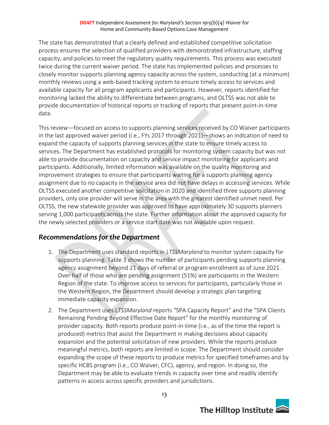The state has demonstrated that a clearly defined and established competitive solicitation process ensures the selection of qualified providers with demonstrated infrastructure, staffing capacity, and policies to meet the regulatory quality requirements. This process was executed twice during the current waiver period. The state has implemented policies and processes to closely monitor supports planning agency capacity across the system, conducting (at a minimum) monthly reviews using a web-based tracking system to ensure timely access to services and available capacity for all program applicants and participants. However, reports identified for monitoring lacked the ability to differentiate between programs, and OLTSS was not able to provide documentation of historical reports or tracking of reports that present point-in-time data.

This review—focused on access to supports planning services received by CO Waiver participants in the last approved waiver period (i.e., FYs 2017 through 2021)—shows an indication of need to expand the capacity of supports planning services in the state to ensure timely access to services. The Department has established protocols for monitoring system capacity but was not able to provide documentation on capacity and service impact monitoring for applicants and participants. Additionally, limited information was available on the quality monitoring and improvement strategies to ensure that participants waiting for a supports planning agency assignment due to no capacity in the service area did not have delays in accessing services. While OLTSS executed another competitive solicitation in 2020 and identified three supports planning providers, only one provider will serve in the area with the greatest identified unmet need. Per OLTSS, the new statewide provider was approved to have approximately 30 supports planners serving 1,000 participants across the state. Further information about the approved capacity for the newly selected providers or a service start date was not available upon request.

### *Recommendations for the Department*

- 1. The Department uses standard reports in *LTSSMaryland* to monitor system capacity for supports planning. Table 3 shows the number of participants pending supports planning agency assignment beyond 21 days of referral or program enrollment as of June 2021. Over half of those who are pending assignment (51%) are participants in the Western Region of the state. To improve access to services for participants, particularly those in the Western Region, the Department should develop a strategic plan targeting immediate capacity expansion.
- 2. The Department uses *LTSSMaryland* reports "SPA Capacity Report" and the "SPA Clients Remaining Pending Beyond Effective Date Report" for the monthly monitoring of provider capacity. Both reports produce point-in-time (i.e., as of the time the report is produced) metrics that assist the Department in making decisions about capacity expansion and the potential solicitation of new providers. While the reports produce meaningful metrics, both reports are limited in scope. The Department should consider expanding the scope of these reports to produce metrics for specified timeframes and by specific HCBS program (i.e., CO Waiver, CFC), agency, and region. In doing so, the Department may be able to evaluate trends in capacity over time and readily identify patterns in access across specific providers and jurisdictions.

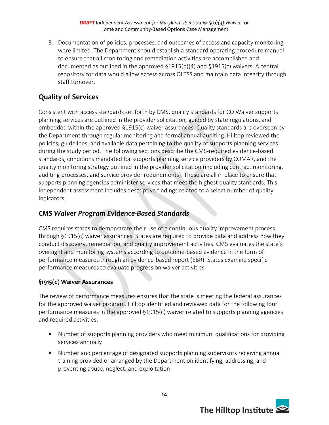3. Documentation of policies, processes, and outcomes of access and capacity monitoring were limited. The Department should establish a standard operating procedure manual to ensure that all monitoring and remediation activities are accomplished and documented as outlined in the approved §1915(b)(4) and §1915(c) waivers. A central repository for data would allow access across OLTSS and maintain data integrity through staff turnover.

# **Quality of Services**

Consistent with access standards set forth by CMS, quality standards for CO Waiver supports planning services are outlined in the provider solicitation, guided by state regulations, and embedded within the approved §1915(c) waiver assurances. Quality standards are overseen by the Department through regular monitoring and formal annual auditing. Hilltop reviewed the policies, guidelines, and available data pertaining to the quality of supports planning services during the study period. The following sections describe the CMS-required evidence-based standards, conditions mandated for supports planning service providers by COMAR, and the quality monitoring strategy outlined in the provider solicitation (including contract monitoring, auditing processes, and service provider requirements). These are all in place to ensure that supports planning agencies administer services that meet the highest quality standards. This independent assessment includes descriptive findings related to a select number of quality indicators.

### *CMS Waiver Program Evidence-Based Standards*

CMS requires states to demonstrate their use of a continuous quality improvement process through §1915(c) waiver assurances. States are required to provide data and address how they conduct discovery, remediation, and quality improvement activities. CMS evaluates the state's oversight and monitoring systems according to outcome-based evidence in the form of performance measures through an evidence-based report (EBR). States examine specific performance measures to evaluate progress on waiver activities.

### **§1915(c) Waiver Assurances**

The review of performance measures ensures that the state is meeting the federal assurances for the approved waiver program. Hilltop identified and reviewed data for the following four performance measures in the approved §1915(c) waiver related to supports planning agencies and required activities:

- Number of supports planning providers who meet minimum qualifications for providing services annually
- Number and percentage of designated supports planning supervisors receiving annual training provided or arranged by the Department on identifying, addressing, and preventing abuse, neglect, and exploitation

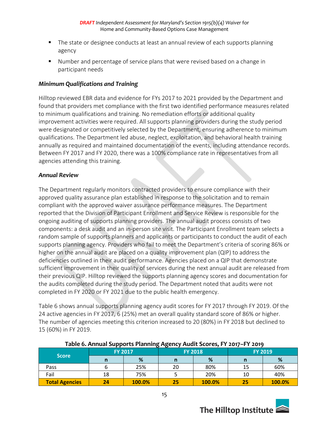- The state or designee conducts at least an annual review of each supports planning agency
- Number and percentage of service plans that were revised based on a change in participant needs

#### *Minimum Qualifications and Training*

Hilltop reviewed EBR data and evidence for FYs 2017 to 2021 provided by the Department and found that providers met compliance with the first two identified performance measures related to minimum qualifications and training. No remediation efforts or additional quality improvement activities were required. All supports planning providers during the study period were designated or competitively selected by the Department, ensuring adherence to minimum qualifications. The Department led abuse, neglect, exploitation, and behavioral health training annually as required and maintained documentation of the events, including attendance records. Between FY 2017 and FY 2020, there was a 100% compliance rate in representatives from all agencies attending this training.

#### *Annual Review*

The Department regularly monitors contracted providers to ensure compliance with their approved quality assurance plan established in response to the solicitation and to remain compliant with the approved waiver assurance performance measures. The Department reported that the Division of Participant Enrollment and Service Review is responsible for the ongoing auditing of supports planning providers. The annual audit process consists of two components: a desk audit and an in-person site visit. The Participant Enrollment team selects a random sample of supports planners and applicants or participants to conduct the audit of each supports planning agency. Providers who fail to meet the Department's criteria of scoring 86% or higher on the annual audit are placed on a quality improvement plan (QIP) to address the deficiencies outlined in their audit performance. Agencies placed on a QIP that demonstrate sufficient improvement in their quality of services during the next annual audit are released from their previous QIP. Hilltop reviewed the supports planning agency scores and documentation for the audits completed during the study period. The Department noted that audits were not completed in FY 2020 or FY 2021 due to the public health emergency.

Table 6 shows annual supports planning agency audit scores for FY 2017 through FY 2019. Of the 24 active agencies in FY 2017, 6 (25%) met an overall quality standard score of 86% or higher. The number of agencies meeting this criterion increased to 20 (80%) in FY 2018 but declined to 15 (60%) in FY 2019.

| Table of Allitual Supports Fighting Agency Addit Scores, FT 2017-FT 2019 |    |                |    |                |    |                |  |  |
|--------------------------------------------------------------------------|----|----------------|----|----------------|----|----------------|--|--|
|                                                                          |    | <b>FY 2017</b> |    | <b>FY 2018</b> |    | <b>FY 2019</b> |  |  |
| <b>Score</b>                                                             |    | %              |    | %              |    | %              |  |  |
| Pass                                                                     |    | 25%            | 20 | 80%            | 15 | 60%            |  |  |
| Fail                                                                     | 18 | 75%            |    | 20%            | 10 | 40%            |  |  |
| <b>Total Agencies</b>                                                    | 24 | 100.0%         | 25 | 100.0%         | 25 | 100.0%         |  |  |

#### **Table 6. Annual Supports Planning Agency Audit Scores, FY 2017–FY 2019**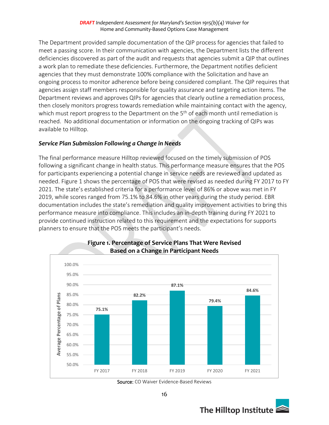The Department provided sample documentation of the QIP process for agencies that failed to meet a passing score. In their communication with agencies, the Department lists the different deficiencies discovered as part of the audit and requests that agencies submit a QIP that outlines a work plan to remediate these deficiencies. Furthermore, the Department notifies deficient agencies that they must demonstrate 100% compliance with the Solicitation and have an ongoing process to monitor adherence before being considered compliant. The QIP requires that agencies assign staff members responsible for quality assurance and targeting action items. The Department reviews and approves QIPs for agencies that clearly outline a remediation process, then closely monitors progress towards remediation while maintaining contact with the agency, which must report progress to the Department on the  $5<sup>th</sup>$  of each month until remediation is reached. No additional documentation or information on the ongoing tracking of QIPs was available to Hilltop.

#### *Service Plan Submission Following a Change in Needs*

The final performance measure Hilltop reviewed focused on the timely submission of POS following a significant change in health status. This performance measure ensures that the POS for participants experiencing a potential change in service needs are reviewed and updated as needed. Figure 1 shows the percentage of POS that were revised as needed during FY 2017 to FY 2021. The state's established criteria for a performance level of 86% or above was met in FY 2019, while scores ranged from 75.1% to 84.6% in other years during the study period. EBR documentation includes the state's remediation and quality improvement activities to bring this performance measure into compliance. This includes an in-depth training during FY 2021 to provide continued instruction related to this requirement and the expectations for supports planners to ensure that the POS meets the participant's needs.



#### **Figure 1. Percentage of Service Plans That Were Revised Based on a Change in Participant Needs**

Source: CO Waiver Evidence-Based Reviews

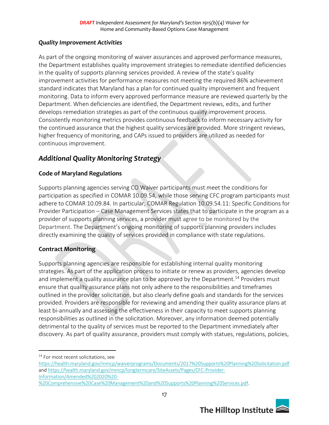#### *Quality Improvement Activities*

As part of the ongoing monitoring of waiver assurances and approved performance measures, the Department establishes quality improvement strategies to remediate identified deficiencies in the quality of supports planning services provided. A review of the state's quality improvement activities for performance measures not meeting the required 86% achievement standard indicates that Maryland has a plan for continued quality improvement and frequent monitoring. Data to inform every approved performance measure are reviewed quarterly by the Department. When deficiencies are identified, the Department reviews, edits, and further develops remediation strategies as part of the continuous quality improvement process. Consistently monitoring metrics provides continuous feedback to inform necessary activity for the continued assurance that the highest quality services are provided. More stringent reviews, higher frequency of monitoring, and CAPs issued to providers are utilized as needed for continuous improvement.

### *Additional Quality Monitoring Strategy*

### **Code of Maryland Regulations**

Supports planning agencies serving CO Waiver participants must meet the conditions for participation as specified in COMAR 10.09.54, while those serving CFC program participants must adhere to COMAR 10.09.84. In particular, COMAR Regulation 10.09.54.11: Specific Conditions for Provider Participation – Case Management Services states that to participate in the program as a provider of supports planning services, a provider must agree to be monitored by the Department. The Department's ongoing monitoring of supports planning providers includes directly examining the quality of services provided in compliance with state regulations.

### **Contract Monitoring**

Supports planning agencies are responsible for establishing internal quality monitoring strategies. As part of the application process to initiate or renew as providers, agencies develop and implement a quality assurance plan to be approved by the Department.<sup>14</sup> Providers must ensure that quality assurance plans not only adhere to the responsibilities and timeframes outlined in the provider solicitation, but also clearly define goals and standards for the services provided. Providers are responsible for reviewing and amending their quality assurance plans at least bi-annually and assessing the effectiveness in their capacity to meet supports planning responsibilities as outlined in the solicitation. Moreover, any information deemed potentially detrimental to the quality of services must be reported to the Department immediately after discovery. As part of quality assurance, providers must comply with statues, regulations, policies,

[<sup>%20</sup>Comprehensive%20Case%20Management%20and%20Supports%20Planning%20Services.pdf.](https://health.maryland.gov/mmcp/longtermcare/SiteAssets/Pages/CFC-Provider-Information/Amended%202020%20-%20Comprehensive%20Case%20Management%20and%20Supports%20Planning%20Services.pdf)



<sup>&</sup>lt;sup>14</sup> For most recent solicitations, see

<https://health.maryland.gov/mmcp/waiverprograms/Documents/2017%20Supports%20Planning%20Solicitation.pdf> an[d https://health.maryland.gov/mmcp/longtermcare/SiteAssets/Pages/CFC-Provider-](https://health.maryland.gov/mmcp/longtermcare/SiteAssets/Pages/CFC-Provider-Information/Amended%202020%20-%20Comprehensive%20Case%20Management%20and%20Supports%20Planning%20Services.pdf)[Information/Amended%202020%20-](https://health.maryland.gov/mmcp/longtermcare/SiteAssets/Pages/CFC-Provider-Information/Amended%202020%20-%20Comprehensive%20Case%20Management%20and%20Supports%20Planning%20Services.pdf)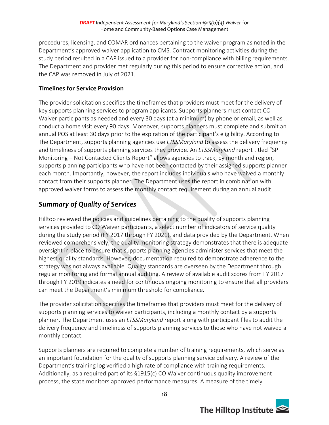procedures, licensing, and COMAR ordinances pertaining to the waiver program as noted in the Department's approved waiver application to CMS. Contract monitoring activities during the study period resulted in a CAP issued to a provider for non-compliance with billing requirements. The Department and provider met regularly during this period to ensure corrective action, and the CAP was removed in July of 2021.

### **Timelines for Service Provision**

The provider solicitation specifies the timeframes that providers must meet for the delivery of key supports planning services to program applicants. Supports planners must contact CO Waiver participants as needed and every 30 days (at a minimum) by phone or email, as well as conduct a home visit every 90 days. Moreover, supports planners must complete and submit an annual POS at least 30 days prior to the expiration of the participant's eligibility. According to The Department, supports planning agencies use *LTSSMaryland* to assess the delivery frequency and timeliness of supports planning services they provide. An *LTSSMaryland* report titled "SP Monitoring – Not Contacted Clients Report" allows agencies to track, by month and region, supports planning participants who have not been contacted by their assigned supports planner each month. Importantly, however, the report includes individuals who have waived a monthly contact from their supports planner. The Department uses the report in combination with approved waiver forms to assess the monthly contact requirement during an annual audit.

# *Summary of Quality of Services*

Hilltop reviewed the policies and guidelines pertaining to the quality of supports planning services provided to CO Waiver participants, a select number of indicators of service quality during the study period (FY 2017 through FY 2021), and data provided by the Department. When reviewed comprehensively, the quality monitoring strategy demonstrates that there is adequate oversight in place to ensure that supports planning agencies administer services that meet the highest quality standards. However, documentation required to demonstrate adherence to the strategy was not always available. Quality standards are overseen by the Department through regular monitoring and formal annual auditing. A review of available audit scores from FY 2017 through FY 2019 indicates a need for continuous ongoing monitoring to ensure that all providers can meet the Department's minimum threshold for compliance.

The provider solicitation specifies the timeframes that providers must meet for the delivery of supports planning services to waiver participants, including a monthly contact by a supports planner. The Department uses an *LTSSMaryland* report along with participant files to audit the delivery frequency and timeliness of supports planning services to those who have not waived a monthly contact.

Supports planners are required to complete a number of training requirements, which serve as an important foundation for the quality of supports planning service delivery. A review of the Department's training log verified a high rate of compliance with training requirements. Additionally, as a required part of its §1915(c) CO Waiver continuous quality improvement process, the state monitors approved performance measures. A measure of the timely

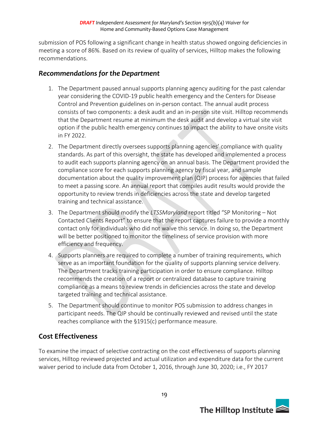submission of POS following a significant change in health status showed ongoing deficiencies in meeting a score of 86%. Based on its review of quality of services, Hilltop makes the following recommendations.

### *Recommendations for the Department*

- 1. The Department paused annual supports planning agency auditing for the past calendar year considering the COVID-19 public health emergency and the Centers for Disease Control and Prevention guidelines on in-person contact. The annual audit process consists of two components: a desk audit and an in-person site visit. Hilltop recommends that the Department resume at minimum the desk audit and develop a virtual site visit option if the public health emergency continues to impact the ability to have onsite visits in FY 2022.
- 2. The Department directly oversees supports planning agencies' compliance with quality standards. As part of this oversight, the state has developed and implemented a process to audit each supports planning agency on an annual basis. The Department provided the compliance score for each supports planning agency by fiscal year, and sample documentation about the quality improvement plan (QIP) process for agencies that failed to meet a passing score. An annual report that compiles audit results would provide the opportunity to review trends in deficiencies across the state and develop targeted training and technical assistance.
- 3. The Department should modify the *LTSSMaryland* report titled "SP Monitoring Not Contacted Clients Report" to ensure that the report captures failure to provide a monthly contact only for individuals who did not waive this service. In doing so, the Department will be better positioned to monitor the timeliness of service provision with more efficiency and frequency.
- 4. Supports planners are required to complete a number of training requirements, which serve as an important foundation for the quality of supports planning service delivery. The Department tracks training participation in order to ensure compliance. Hilltop recommends the creation of a report or centralized database to capture training compliance as a means to review trends in deficiencies across the state and develop targeted training and technical assistance.
- 5. The Department should continue to monitor POS submission to address changes in participant needs. The QIP should be continually reviewed and revised until the state reaches compliance with the §1915(c) performance measure.

# **Cost Effectiveness**

To examine the impact of selective contracting on the cost effectiveness of supports planning services, Hilltop reviewed projected and actual utilization and expenditure data for the current waiver period to include data from October 1, 2016, through June 30, 2020; i.e., FY 2017

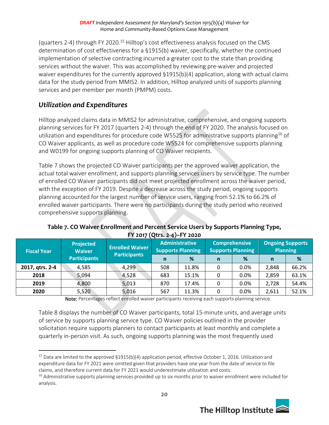(quarters 2-4) through FY 2020.<sup>15</sup> Hilltop's cost effectiveness analysis focused on the CMS determination of cost effectiveness for a §1915(b) waiver, specifically, whether the continued implementation of selective contracting incurred a greater cost to the state than providing services without the waiver. This was accomplished by reviewing pre-waiver and projected waiver expenditures for the currently approved §1915(b)(4) application, along with actual claims data for the study period from MMIS2. In addition, Hilltop analyzed units of supports planning services and per member per month (PMPM) costs.

# *Utilization and Expenditures*

Hilltop analyzed claims data in MMIS2 for administrative, comprehensive, and ongoing supports planning services for FY 2017 (quarters 2-4) through the end of FY 2020. The analysis focused on utilization and expenditures for procedure code W5525 for administrative supports planning<sup>16</sup> of CO Waiver applicants, as well as procedure code W5524 for comprehensive supports planning and W0199 for ongoing supports planning of CO Waiver recipients.

Table 7 shows the projected CO Waiver participants per the approved waiver application, the actual total waiver enrollment, and supports planning services users by service type. The number of enrolled CO Waiver participants did not meet projected enrollment across the waiver period, with the exception of FY 2019. Despite a decrease across the study period, ongoing supports planning accounted for the largest number of service users, ranging from 52.1% to 66.2% of enrolled waiver participants. There were no participants during the study period who received comprehensive supports planning.

| <b>Fiscal Year</b> | <b>Projected</b><br><b>Waiver</b> | <b>Enrolled Waiver</b> |     | <b>Administrative</b><br><b>Supports Planning</b> | <b>Comprehensive</b><br><b>Supports Planning</b> |      |       | <b>Ongoing Supports</b><br><b>Planning</b> |
|--------------------|-----------------------------------|------------------------|-----|---------------------------------------------------|--------------------------------------------------|------|-------|--------------------------------------------|
|                    | <b>Participants</b>               | <b>Participants</b>    | n   | %                                                 | $\mathsf{n}$                                     | %    | n     | %                                          |
| 2017, qtrs. 2-4    | 4,585                             | 4,299                  | 508 | 11.8%                                             | 0                                                | 0.0% | 2,848 | 66.2%                                      |
| 2018               | 5,094                             | 4,528                  | 683 | 15.1%                                             | 0                                                | 0.0% | 2,859 | 63.1%                                      |
| 2019               | 4,800                             | 5,013                  | 870 | 17.4%                                             | 0                                                | 0.0% | 2,728 | 54.4%                                      |
| 2020               | 5,520                             | 5,016                  | 567 | 11.3%                                             |                                                  | 0.0% | 2,611 | 52.1%                                      |

### **Table 7. CO Waiver Enrollment and Percent Service Users by Supports Planning Type, FY 2017 (Qtrs. 2-4)–FY 2020**

Note: Percentages reflect enrolled waiver participants receiving each supports planning service.

Table 8 displays the number of CO Waiver participants, total 15-minute units, and average units of service by supports planning service type. CO Waiver policies outlined in the provider solicitation require supports planners to contact participants at least monthly and complete a quarterly in-person visit. As such, ongoing supports planning was the most frequently used

<sup>&</sup>lt;sup>16</sup> Administrative supports planning services provided up to six months prior to waiver enrollment were included for analysis.



<sup>&</sup>lt;sup>15</sup> Data are limited to the approved  $\S1915(b)(4)$  application period, effective October 1, 2016. Utilization and expenditure data for FY 2021 were omitted given that providers have one year from the date of service to file claims, and therefore current data for FY 2021 would underestimate utilization and costs.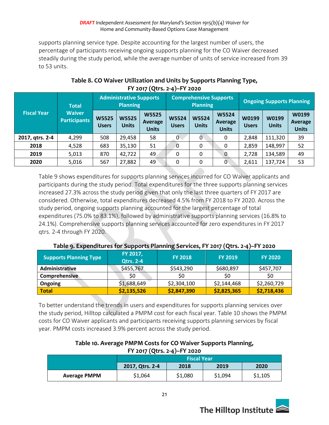supports planning service type. Despite accounting for the largest number of users, the percentage of participants receiving ongoing supports planning for the CO Waiver decreased steadily during the study period, while the average number of units of service increased from 39 to 53 units.

| <b>Fiscal Year</b> | <b>Total</b>                         | <b>Administrative Supports</b><br><b>Planning</b> |                              | <b>Comprehensive Supports</b><br><b>Planning</b> |                              |                              | <b>Ongoing Supports Planning</b>        |                       |                       |                                  |
|--------------------|--------------------------------------|---------------------------------------------------|------------------------------|--------------------------------------------------|------------------------------|------------------------------|-----------------------------------------|-----------------------|-----------------------|----------------------------------|
|                    | <b>Waiver</b><br><b>Participants</b> | <b>W5525</b><br><b>Users</b>                      | <b>W5525</b><br><b>Units</b> | <b>W5525</b><br>Average<br><b>Units</b>          | <b>W5524</b><br><b>Users</b> | <b>W5524</b><br><b>Units</b> | <b>W5524</b><br>Average<br><b>Units</b> | W0199<br><b>Users</b> | W0199<br><b>Units</b> | W0199<br>Average<br><b>Units</b> |
| 2017, qtrs. 2-4    | 4,299                                | 508                                               | 29,458                       | 58                                               | $0 \cdot$                    | 0                            | 0                                       | 2,848                 | 111,320               | 39                               |
| 2018               | 4,528                                | 683                                               | 35,130                       | 51                                               | $\overline{0}$               | 0                            | 0                                       | 2,859                 | 148,997               | 52                               |
| 2019               | 5,013                                | 870                                               | 42,722                       | 49                                               | 0                            | 0                            | 0                                       | 2,728                 | 134,589               | 49                               |
| 2020               | 5,016                                | 567                                               | 27,882                       | 49                                               | 0                            | 0                            | $\Omega$                                | 2,611                 | 137,724               | 53                               |

### **Table 8. CO Waiver Utilization and Units by Supports Planning Type, FY 2017 (Qtrs. 2-4)–FY 2020**

Table 9 shows expenditures for supports planning services incurred for CO Waiver applicants and participants during the study period. Total expenditures for the three supports planning services increased 27.3% across the study period given that only the last three quarters of FY 2017 are considered. Otherwise, total expenditures decreased 4.5% from FY 2018 to FY 2020. Across the study period, ongoing supports planning accounted for the largest percentage of total expenditures (75.0% to 83.1%), followed by administrative supports planning services (16.8% to 24.1%). Comprehensive supports planning services accounted for zero expenditures in FY 2017 qtrs. 2-4 through FY 2020.

| Table 9. Experiencing STOL Supports Fighting Services, FT 2017 (Qtrs. 2-4) -TT 2020 |                              |                |                |                |  |  |  |  |  |
|-------------------------------------------------------------------------------------|------------------------------|----------------|----------------|----------------|--|--|--|--|--|
| <b>Supports Planning Type</b>                                                       | FY 2017,<br><b>Qtrs. 2-4</b> | <b>FY 2018</b> | <b>FY 2019</b> | <b>FY 2020</b> |  |  |  |  |  |
| <b>Administrative</b>                                                               | \$455,767                    | \$543,290      | \$680,897      | \$457,707      |  |  |  |  |  |
| Comprehensive                                                                       | \$0                          | \$0            | \$0            | \$0            |  |  |  |  |  |
| Ongoing                                                                             | \$1,688,649                  | \$2,304,100    | \$2,144,468    | \$2,260,729    |  |  |  |  |  |
| Total                                                                               | \$2,135,526                  | \$2,847,390    | \$2,825,365    | \$2,718,436    |  |  |  |  |  |

### **Table 9. Expenditures for Supports Planning Services, FY 2017 (Qtrs. 2-4)–FY 2020**

To better understand the trends in users and expenditures for supports planning services over the study period, Hilltop calculated a PMPM cost for each fiscal year. Table 10 shows the PMPM costs for CO Waiver applicants and participants receiving supports planning services by fiscal year. PMPM costs increased 3.9% percent across the study period.

#### **Table 10. Average PMPM Costs for CO Waiver Supports Planning, FY 2017 (Qtrs. 2-4)–FY 2020**

|                     | <b>Fiscal Year</b>                      |         |         |         |  |  |  |  |  |
|---------------------|-----------------------------------------|---------|---------|---------|--|--|--|--|--|
|                     | 2018<br>2019<br>2020<br>2017, Qtrs. 2-4 |         |         |         |  |  |  |  |  |
| <b>Average PMPM</b> | \$1,064                                 | \$1,080 | \$1,094 | \$1,105 |  |  |  |  |  |

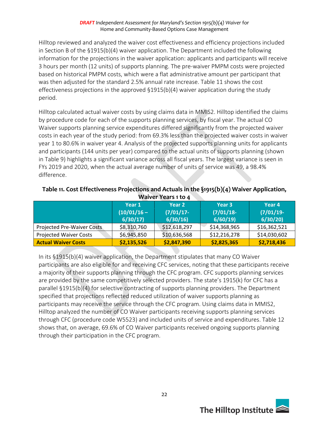Hilltop reviewed and analyzed the waiver cost effectiveness and efficiency projections included in Section B of the §1915(b)(4) waiver application. The Department included the following information for the projections in the waiver application: applicants and participants will receive 3 hours per month (12 units) of supports planning. The pre-waiver PMPM costs were projected based on historical PMPM costs, which were a flat administrative amount per participant that was then adjusted for the standard 2.5% annual rate increase. Table 11 shows the cost effectiveness projections in the approved §1915(b)(4) waiver application during the study period.

Hilltop calculated actual waiver costs by using claims data in MMIS2. Hilltop identified the claims by procedure code for each of the supports planning services, by fiscal year. The actual CO Waiver supports planning service expenditures differed significantly from the projected waiver costs in each year of the study period: from 69.3% less than the projected waiver costs in waiver year 1 to 80.6% in waiver year 4. Analysis of the projected supports planning units for applicants and participants (144 units per year) compared to the actual units of supports planning (shown in Table 9) highlights a significant variance across all fiscal years. The largest variance is seen in FYs 2019 and 2020, when the actual average number of units of service was 49, a 98.4% difference.

| waiver rears 1 to 4               |                          |                         |                         |                        |  |  |  |  |  |
|-----------------------------------|--------------------------|-------------------------|-------------------------|------------------------|--|--|--|--|--|
|                                   | Year 1                   | Year 2                  | Year 3                  | Year 4                 |  |  |  |  |  |
|                                   | $(10/01/16 -$<br>6/30/17 | $(7/01/17 -$<br>6/30/16 | $(7/01/18 -$<br>6/60/19 | $(7/01/19-$<br>6/30/20 |  |  |  |  |  |
| <b>Projected Pre-Waiver Costs</b> | \$8,310,760              | \$12,618,297            | \$14,368,965            | \$16,362,521           |  |  |  |  |  |
| <b>Projected Waiver Costs</b>     | \$6,945,850              | \$10,636,568            | \$12,216,278            | \$14,030,602           |  |  |  |  |  |
| <b>Actual Waiver Costs</b>        | \$2,135,526              | \$2,847,390             | \$2,825,365             | \$2,718,436            |  |  |  |  |  |

**Table 11. Cost Effectiveness Projections and Actuals in the §1915(b)(4) Waiver Application, Waiver Years 1 to 4**

In its §1915(b)(4) waiver application, the Department stipulates that many CO Waiver participants are also eligible for and receiving CFC services, noting that these participants receive a majority of their supports planning through the CFC program. CFC supports planning services are provided by the same competitively selected providers. The state's 1915(k) for CFC has a parallel §1915(b)(4) for selective contracting of supports planning providers. The Department specified that projections reflected reduced utilization of waiver supports planning as participants may receive the service through the CFC program. Using claims data in MMIS2, Hilltop analyzed the number of CO Waiver participants receiving supports planning services through CFC (procedure code W5523) and included units of service and expenditures. Table 12 shows that, on average, 69.6% of CO Waiver participants received ongoing supports planning through their participation in the CFC program.

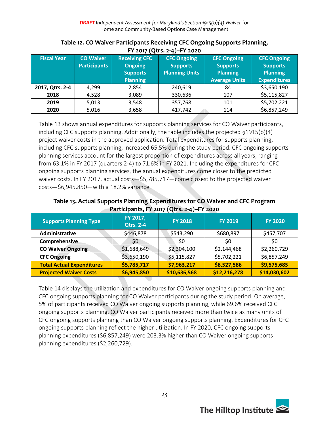| $1.1$ 2017 ( Q ti 3) $2.7$ $1.1$ 2020 |                     |                      |                       |                      |                     |  |  |  |  |
|---------------------------------------|---------------------|----------------------|-----------------------|----------------------|---------------------|--|--|--|--|
| <b>Fiscal Year</b>                    | <b>CO Waiver</b>    | <b>Receiving CFC</b> | <b>CFC Ongoing</b>    | <b>CFC Ongoing</b>   | <b>CFC Ongoing</b>  |  |  |  |  |
|                                       | <b>Participants</b> | <b>Ongoing</b>       | <b>Supports</b>       | <b>Supports</b>      | <b>Supports</b>     |  |  |  |  |
|                                       |                     | <b>Supports</b>      | <b>Planning Units</b> | <b>Planning</b>      | <b>Planning</b>     |  |  |  |  |
|                                       |                     | <b>Planning</b>      |                       | <b>Average Units</b> | <b>Expenditures</b> |  |  |  |  |
| 2017, Qtrs. 2-4                       | 4,299               | 2,854                | 240,619               | 84                   | \$3,650,190         |  |  |  |  |
| 2018                                  | 4,528               | 3,089                | 330,636               | 107                  | \$5,115,827         |  |  |  |  |
| 2019                                  | 5,013               | 3,548                | 357,768               | 101                  | \$5,702,221         |  |  |  |  |
| 2020                                  | 5,016               | 3,658                | 417,742               | 114                  | \$6,857,249         |  |  |  |  |

#### **Table 12. CO Waiver Participants Receiving CFC Ongoing Supports Planning, FY 2017 (Qtrs. 2-4)–FY 2020**

Table 13 shows annual expenditures for supports planning services for CO Waiver participants, including CFC supports planning. Additionally, the table includes the projected §1915(b)(4) project waiver costs in the approved application. Total expenditures for supports planning, including CFC supports planning, increased 65.5% during the study period. CFC ongoing supports planning services account for the largest proportion of expenditures across all years, ranging from 63.1% in FY 2017 (quarters 2-4) to 71.6% in FY 2021. Including the expenditures for CFC ongoing supports planning services, the annual expenditures come closer to the predicted waiver costs. In FY 2017, actual costs—\$5,785,717—come closest to the projected waiver costs—\$6,945,850—with a 18.2% variance.

#### **Table 13. Actual Supports Planning Expenditures for CO Waiver and CFC Program Participants, FY 2017 (Qtrs. 2-4)–FY 2020**

| <b>Supports Planning Type</b>    | FY 2017,<br><b>Qtrs. 2-4</b> | <b>FY 2018</b> | <b>FY 2019</b> | <b>FY 2020</b> |
|----------------------------------|------------------------------|----------------|----------------|----------------|
| Administrative                   | \$446,878                    | \$543,290      | \$680,897      | \$457,707      |
| Comprehensive                    | \$0                          | \$0            | \$0            | \$0            |
| <b>CO Waiver Ongoing</b>         | \$1,688,649                  | \$2,304,100    | \$2,144,468    | \$2,260,729    |
| <b>CFC Ongoing</b>               | \$3,650,190                  | \$5,115,827    | \$5,702,221    | \$6,857,249    |
| <b>Total Actual Expenditures</b> | \$5,785,717                  | \$7,963,217    | \$8,527,586    | \$9,575,685    |
| <b>Projected Waiver Costs</b>    | \$6,945,850                  | \$10,636,568   | \$12,216,278   | \$14,030,602   |

Table 14 displays the utilization and expenditures for CO Waiver ongoing supports planning and CFC ongoing supports planning for CO Waiver participants during the study period. On average, 5% of participants received CO Waiver ongoing supports planning, while 69.6% received CFC ongoing supports planning. CO Waiver participants received more than twice as many units of CFC ongoing supports planning than CO Waiver ongoing supports planning. Expenditures for CFC ongoing supports planning reflect the higher utilization. In FY 2020, CFC ongoing supports planning expenditures (\$6,857,249) were 203.3% higher than CO Waiver ongoing supports planning expenditures (\$2,260,729).

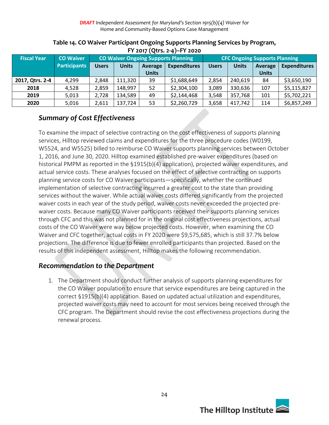| $112017$ (QU3. 2-4) $-112020$ |                     |                                            |                                                |              |              |              |                                      |                     |             |  |
|-------------------------------|---------------------|--------------------------------------------|------------------------------------------------|--------------|--------------|--------------|--------------------------------------|---------------------|-------------|--|
| <b>Fiscal Year</b>            | <b>CO Waiver</b>    | <b>CO Waiver Ongoing Supports Planning</b> |                                                |              |              |              | <b>CFC Ongoing Supports Planning</b> |                     |             |  |
|                               | <b>Participants</b> | <b>Users</b>                               | <b>Units</b><br><b>Expenditures</b><br>Average |              | <b>Users</b> | <b>Units</b> | Average                              | <b>Expenditures</b> |             |  |
|                               |                     |                                            |                                                | <b>Units</b> |              |              |                                      | <b>Units</b>        |             |  |
| 2017, Qtrs. 2-4               | 4,299               | 2,848                                      | 111,320                                        | 39           | \$1,688,649  | 2,854        | 240,619                              | 84                  | \$3,650,190 |  |
| 2018                          | 4,528               | 2,859                                      | 148,997                                        | 52           | \$2,304,100  | 3,089        | 330,636                              | 107                 | \$5,115,827 |  |
| 2019                          | 5,013               | 2,728                                      | 134,589                                        | 49           | \$2,144,468  | 3,548        | 357,768                              | 101                 | \$5,702,221 |  |
| 2020                          | 5,016               | 2,611                                      | 137,724                                        | 53           | \$2,260,729  | 3,658        | 417,742                              | 114                 | \$6,857,249 |  |

#### **Table 14. CO Waiver Participant Ongoing Supports Planning Services by Program, FY 2017 (Qtrs. 2-4)–FY 2020**

### *Summary of Cost Effectiveness*

To examine the impact of selective contracting on the cost effectiveness of supports planning services, Hilltop reviewed claims and expenditures for the three procedure codes (W0199, W5524, and W5525) billed to reimburse CO Waiver supports planning services between October 1, 2016, and June 30, 2020. Hilltop examined established pre-waiver expenditures (based on historical PMPM as reported in the §1915(b)(4) application), projected waiver expenditures, and actual service costs. These analyses focused on the effect of selective contracting on supports planning service costs for CO Waiver participants—specifically, whether the continued implementation of selective contracting incurred a greater cost to the state than providing services without the waiver. While actual waiver costs differed significantly from the projected waiver costs in each year of the study period, waiver costs never exceeded the projected prewaiver costs. Because many CO Waiver participants received their supports planning services through CFC and this was not planned for in the original cost effectiveness projections, actual costs of the CO Waiver were way below projected costs. However, when examining the CO Waiver and CFC together, actual costs in FY 2020 were \$9,575,685, which is still 37.7% below projections. The difference is due to fewer enrolled participants than projected. Based on the results of this independent assessment, Hilltop makes the following recommendation.

### *Recommendation to the Department*

1. The Department should conduct further analysis of supports planning expenditures for the CO Waiver population to ensure that service expenditures are being captured in the correct §1915(b)(4) application. Based on updated actual utilization and expenditures, projected waiver costs may need to account for most services being received through the CFC program. The Department should revise the cost effectiveness projections during the renewal process.

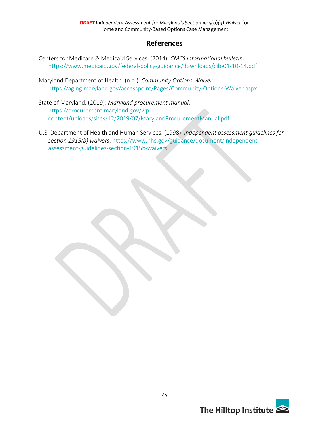### **References**

- Centers for Medicare & Medicaid Services. (2014). *CMCS informational bulletin*. <https://www.medicaid.gov/federal-policy-guidance/downloads/cib-01-10-14.pdf>
- Maryland Department of Health. (n.d.). *Community Options Waiver*. <https://aging.maryland.gov/accesspoint/Pages/Community-Options-Waiver.aspx>
- State of Maryland. (2019). *Maryland procurement manual*. [https://procurement.maryland.gov/wp](https://procurement.maryland.gov/wp-content/uploads/sites/12/2019/07/MarylandProcurementManual.pdf)[content/uploads/sites/12/2019/07/MarylandProcurementManual.pdf](https://procurement.maryland.gov/wp-content/uploads/sites/12/2019/07/MarylandProcurementManual.pdf)
- U.S. Department of Health and Human Services. (1998). *Independent assessment guidelines for section 1915(b) waivers*. [https://www.hhs.gov/guidance/document/independent](https://www.hhs.gov/guidance/document/independent-assessment-guidelines-section-1915b-waivers)[assessment-guidelines-section-1915b-waivers](https://www.hhs.gov/guidance/document/independent-assessment-guidelines-section-1915b-waivers)

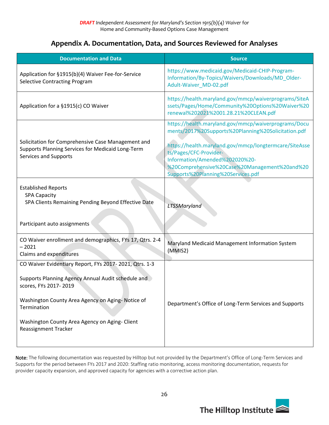### **Appendix A. Documentation, Data, and Sources Reviewed for Analyses**

| <b>Documentation and Data</b>                                                                                                                                                                                                                                                              | <b>Source</b>                                                                                                                                                                                                                                                                                                            |
|--------------------------------------------------------------------------------------------------------------------------------------------------------------------------------------------------------------------------------------------------------------------------------------------|--------------------------------------------------------------------------------------------------------------------------------------------------------------------------------------------------------------------------------------------------------------------------------------------------------------------------|
| Application for §1915(b)(4) Waiver Fee-for-Service<br><b>Selective Contracting Program</b>                                                                                                                                                                                                 | https://www.medicaid.gov/Medicaid-CHIP-Program-<br>Information/By-Topics/Waivers/Downloads/MD_Older-<br>Adult-Waiver MD-02.pdf                                                                                                                                                                                           |
| Application for a §1915(c) CO Waiver                                                                                                                                                                                                                                                       | https://health.maryland.gov/mmcp/waiverprograms/SiteA<br>ssets/Pages/Home/Community%20Options%20Waiver%20<br>renewal%202021%2001.28.21%20CLEAN.pdf                                                                                                                                                                       |
| Solicitation for Comprehensive Case Management and<br>Supports Planning Services for Medicaid Long-Term<br>Services and Supports                                                                                                                                                           | https://health.maryland.gov/mmcp/waiverprograms/Docu<br>ments/2017%20Supports%20Planning%20Solicitation.pdf<br>https://health.maryland.gov/mmcp/longtermcare/SiteAsse<br>ts/Pages/CFC-Provider-<br>Information/Amended%202020%20-<br>%20Comprehensive%20Case%20Management%20and%20<br>Supports%20Planning%20Services.pdf |
| <b>Established Reports</b><br><b>SPA Capacity</b><br>SPA Clients Remaining Pending Beyond Effective Date<br>Participant auto assignments                                                                                                                                                   | LTSSMaryland                                                                                                                                                                                                                                                                                                             |
| CO Waiver enrollment and demographics, FYs 17, Qtrs. 2-4<br>$-2021$<br>Claims and expenditures                                                                                                                                                                                             | Maryland Medicaid Management Information System<br>(MMIS2)                                                                                                                                                                                                                                                               |
| CO Waiver Evidentiary Report, FYs 2017-2021, Qtrs. 1-3<br>Supports Planning Agency Annual Audit schedule and<br>scores, FYs 2017-2019<br>Washington County Area Agency on Aging- Notice of<br>Termination<br>Washington County Area Agency on Aging- Client<br><b>Reassignment Tracker</b> | Department's Office of Long-Term Services and Supports                                                                                                                                                                                                                                                                   |

Note: The following documentation was requested by Hilltop but not provided by the Department's Office of Long-Term Services and Supports for the period between FYs 2017 and 2020: Staffing ratio monitoring, access monitoring documentation, requests for provider capacity expansion, and approved capacity for agencies with a corrective action plan.

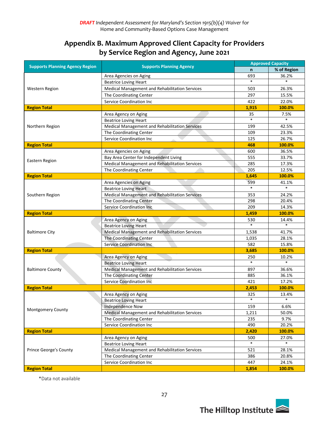# **Appendix B. Maximum Approved Client Capacity for Providers by Service Region and Agency, June 2021**

|                                        |                                                       | <b>Approved Capacity</b> |             |  |  |
|----------------------------------------|-------------------------------------------------------|--------------------------|-------------|--|--|
| <b>Supports Planning Agency Region</b> | <b>Supports Planning Agency</b>                       | $\mathsf{n}$             | % of Region |  |  |
|                                        | Area Agencies on Aging                                | 693                      | 36.2%       |  |  |
|                                        | <b>Beatrice Loving Heart</b>                          |                          | $\ast$      |  |  |
| Western Region                         | Medical Management and Rehabilitation Services        | 503                      | 26.3%       |  |  |
|                                        | The Coordinating Center                               | 297                      | 15.5%       |  |  |
|                                        | Service Coordination Inc                              | 422                      | 22.0%       |  |  |
| <b>Region Total</b>                    |                                                       | 1,915                    | 100.0%      |  |  |
|                                        | Area Agency on Aging                                  | 35                       | 7.5%        |  |  |
|                                        | <b>Beatrice Loving Heart</b>                          | $\ast$                   | $\ast$      |  |  |
| Northern Region                        | <b>Medical Management and Rehabilitation Services</b> | 199                      | 42.5%       |  |  |
|                                        | The Coordinating Center                               | 109                      | 23.3%       |  |  |
|                                        | Service Coordination Inc                              | 125                      | 26.7%       |  |  |
| <b>Region Total</b>                    |                                                       | 468                      | 100.0%      |  |  |
|                                        | Area Agencies on Aging                                | 600                      | 36.5%       |  |  |
| Eastern Region                         | Bay Area Center for Independent Living                | 555                      | 33.7%       |  |  |
|                                        | Medical Management and Rehabilitation Services        | 285                      | 17.3%       |  |  |
|                                        | The Coordinating Center                               | 205                      | 12.5%       |  |  |
| <b>Region Total</b>                    |                                                       | 1,645                    | 100.0%      |  |  |
|                                        | Area Agencies on Aging                                | 599                      | 41.1%       |  |  |
|                                        | <b>Beatrice Loving Heart</b>                          | $\ast$                   | $\ast$      |  |  |
| Southern Region                        | Medical Management and Rehabilitation Services        | 353                      | 24.2%       |  |  |
|                                        | The Coordinating Center                               | 298                      | 20.4%       |  |  |
|                                        | <b>Service Coordination Inc</b>                       | 209                      | 14.3%       |  |  |
| <b>Region Total</b>                    |                                                       | 1,459                    | 100.0%      |  |  |
|                                        | Area Agency on Aging                                  | 530                      | 14.4%       |  |  |
|                                        | <b>Beatrice Loving Heart</b>                          | $\ast$                   | $\ast$      |  |  |
| <b>Baltimore City</b>                  | Medical Management and Rehabilitation Services        | 1,538                    | 41.7%       |  |  |
|                                        | The Coordinating Center                               | 1,035                    | 28.1%       |  |  |
|                                        | <b>Service Coordination Inc</b>                       | 582                      | 15.8%       |  |  |
| <b>Region Total</b>                    |                                                       | 3,685                    | 100.0%      |  |  |
|                                        | Area Agency on Aging                                  | 250                      | 10.2%       |  |  |
|                                        | <b>Beatrice Loving Heart</b>                          | $\ast$                   | $\ast$      |  |  |
| <b>Baltimore County</b>                | <b>Medical Management and Rehabilitation Services</b> | 897                      | 36.6%       |  |  |
|                                        | The Coordinating Center                               | 885                      | 36.1%       |  |  |
|                                        | <b>Service Coordination Inc</b>                       | 421                      | 17.2%       |  |  |
| <b>Region Total</b>                    |                                                       | 2,453                    | 100.0%      |  |  |
|                                        | Area Agency on Aging                                  | 325                      | 13.4%       |  |  |
|                                        | <b>Beatrice Loving Heart</b>                          |                          |             |  |  |
| <b>Montgomery County</b>               | <b>Independence Now</b>                               | 159                      | 6.6%        |  |  |
|                                        | Medical Management and Rehabilitation Services        | 1,211                    | 50.0%       |  |  |
|                                        | The Coordinating Center                               | 235                      | 9.7%        |  |  |
|                                        | Service Coordination Inc                              | 490                      | 20.2%       |  |  |
| <b>Region Total</b>                    |                                                       | 2,420                    | 100.0%      |  |  |
|                                        | Area Agency on Aging                                  | 500                      | 27.0%       |  |  |
|                                        | <b>Beatrice Loving Heart</b>                          |                          | $\ast$      |  |  |
| Prince George's County                 | Medical Management and Rehabilitation Services        | 521                      | 28.1%       |  |  |
|                                        | The Coordinating Center                               | 386                      | 20.8%       |  |  |
|                                        | Service Coordination Inc                              | 447                      | 24.1%       |  |  |
| <b>Region Total</b>                    |                                                       | 1,854                    | 100.0%      |  |  |

\*Data not available